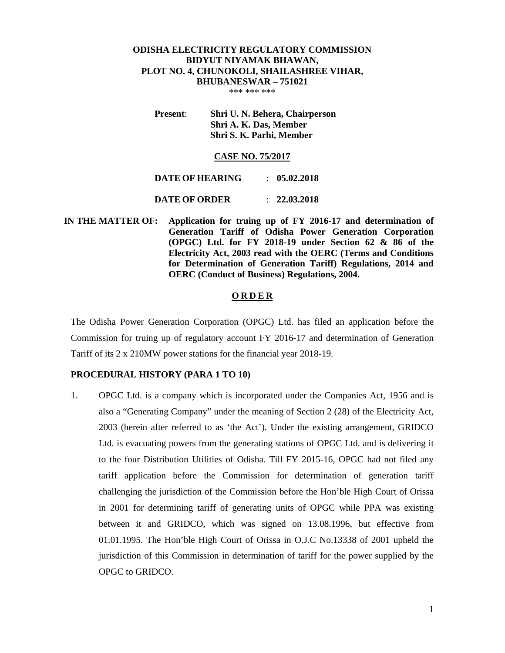# **ODISHA ELECTRICITY REGULATORY COMMISSION BIDYUT NIYAMAK BHAWAN, PLOT NO. 4, CHUNOKOLI, SHAILASHREE VIHAR, BHUBANESWAR – 751021**

\*\*\* \*\*\* \*\*\*

**Present**: **Shri U. N. Behera, Chairperson Shri A. K. Das, Member Shri S. K. Parhi, Member** 

#### **CASE NO. 75/2017**

| DATE OF HEARING      | $\therefore$ 05.02.2018 |
|----------------------|-------------------------|
| <b>DATE OF ORDER</b> | $\therefore$ 22.03.2018 |

 **IN THE MATTER OF: Application for truing up of FY 2016-17 and determination of Generation Tariff of Odisha Power Generation Corporation (OPGC) Ltd. for FY 2018-19 under Section 62 & 86 of the Electricity Act, 2003 read with the OERC (Terms and Conditions for Determination of Generation Tariff) Regulations, 2014 and OERC (Conduct of Business) Regulations, 2004.** 

#### **O R D E R**

The Odisha Power Generation Corporation (OPGC) Ltd. has filed an application before the Commission for truing up of regulatory account FY 2016-17 and determination of Generation Tariff of its 2 x 210MW power stations for the financial year 2018-19.

#### **PROCEDURAL HISTORY (PARA 1 TO 10)**

1. OPGC Ltd. is a company which is incorporated under the Companies Act, 1956 and is also a "Generating Company" under the meaning of Section 2 (28) of the Electricity Act, 2003 (herein after referred to as 'the Act'). Under the existing arrangement, GRIDCO Ltd. is evacuating powers from the generating stations of OPGC Ltd. and is delivering it to the four Distribution Utilities of Odisha. Till FY 2015-16, OPGC had not filed any tariff application before the Commission for determination of generation tariff challenging the jurisdiction of the Commission before the Hon'ble High Court of Orissa in 2001 for determining tariff of generating units of OPGC while PPA was existing between it and GRIDCO, which was signed on 13.08.1996, but effective from 01.01.1995. The Hon'ble High Court of Orissa in O.J.C No.13338 of 2001 upheld the jurisdiction of this Commission in determination of tariff for the power supplied by the OPGC to GRIDCO.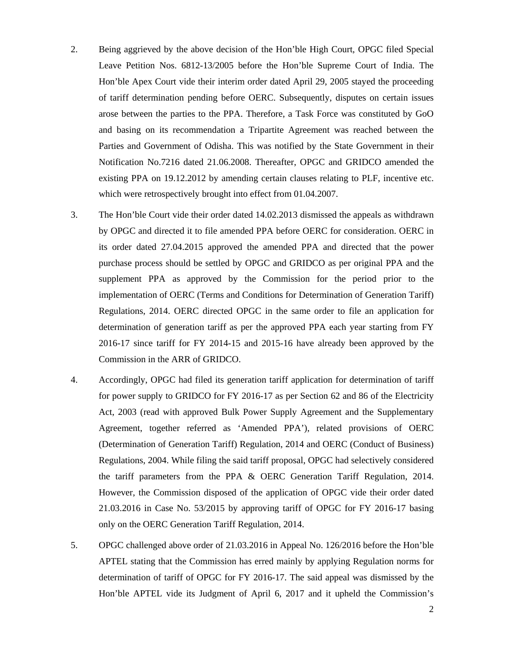- 2. Being aggrieved by the above decision of the Hon'ble High Court, OPGC filed Special Leave Petition Nos. 6812-13/2005 before the Hon'ble Supreme Court of India. The Hon'ble Apex Court vide their interim order dated April 29, 2005 stayed the proceeding of tariff determination pending before OERC. Subsequently, disputes on certain issues arose between the parties to the PPA. Therefore, a Task Force was constituted by GoO and basing on its recommendation a Tripartite Agreement was reached between the Parties and Government of Odisha. This was notified by the State Government in their Notification No.7216 dated 21.06.2008. Thereafter, OPGC and GRIDCO amended the existing PPA on 19.12.2012 by amending certain clauses relating to PLF, incentive etc. which were retrospectively brought into effect from 01.04.2007.
- 3. The Hon'ble Court vide their order dated 14.02.2013 dismissed the appeals as withdrawn by OPGC and directed it to file amended PPA before OERC for consideration. OERC in its order dated 27.04.2015 approved the amended PPA and directed that the power purchase process should be settled by OPGC and GRIDCO as per original PPA and the supplement PPA as approved by the Commission for the period prior to the implementation of OERC (Terms and Conditions for Determination of Generation Tariff) Regulations, 2014. OERC directed OPGC in the same order to file an application for determination of generation tariff as per the approved PPA each year starting from FY 2016-17 since tariff for FY 2014-15 and 2015-16 have already been approved by the Commission in the ARR of GRIDCO.
- 4. Accordingly, OPGC had filed its generation tariff application for determination of tariff for power supply to GRIDCO for FY 2016-17 as per Section 62 and 86 of the Electricity Act, 2003 (read with approved Bulk Power Supply Agreement and the Supplementary Agreement, together referred as 'Amended PPA'), related provisions of OERC (Determination of Generation Tariff) Regulation, 2014 and OERC (Conduct of Business) Regulations, 2004. While filing the said tariff proposal, OPGC had selectively considered the tariff parameters from the PPA & OERC Generation Tariff Regulation, 2014. However, the Commission disposed of the application of OPGC vide their order dated 21.03.2016 in Case No. 53/2015 by approving tariff of OPGC for FY 2016-17 basing only on the OERC Generation Tariff Regulation, 2014.
- 5. OPGC challenged above order of 21.03.2016 in Appeal No. 126/2016 before the Hon'ble APTEL stating that the Commission has erred mainly by applying Regulation norms for determination of tariff of OPGC for FY 2016-17. The said appeal was dismissed by the Hon'ble APTEL vide its Judgment of April 6, 2017 and it upheld the Commission's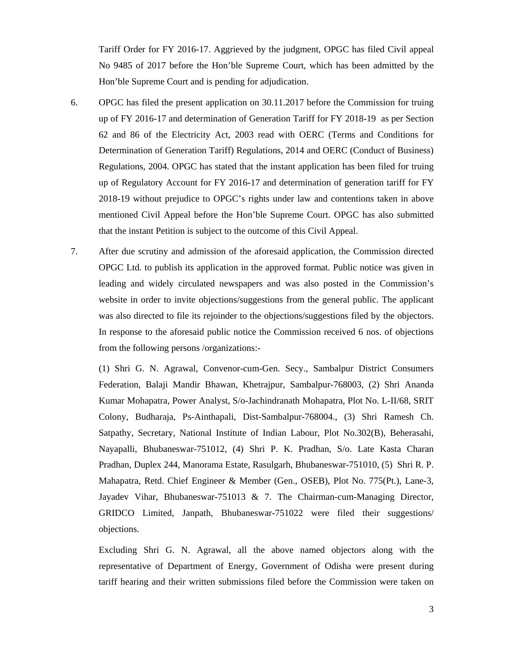Tariff Order for FY 2016-17. Aggrieved by the judgment, OPGC has filed Civil appeal No 9485 of 2017 before the Hon'ble Supreme Court, which has been admitted by the Hon'ble Supreme Court and is pending for adjudication.

- 6. OPGC has filed the present application on 30.11.2017 before the Commission for truing up of FY 2016-17 and determination of Generation Tariff for FY 2018-19 as per Section 62 and 86 of the Electricity Act, 2003 read with OERC (Terms and Conditions for Determination of Generation Tariff) Regulations, 2014 and OERC (Conduct of Business) Regulations, 2004. OPGC has stated that the instant application has been filed for truing up of Regulatory Account for FY 2016-17 and determination of generation tariff for FY 2018-19 without prejudice to OPGC's rights under law and contentions taken in above mentioned Civil Appeal before the Hon'ble Supreme Court. OPGC has also submitted that the instant Petition is subject to the outcome of this Civil Appeal.
- 7. After due scrutiny and admission of the aforesaid application, the Commission directed OPGC Ltd. to publish its application in the approved format. Public notice was given in leading and widely circulated newspapers and was also posted in the Commission's website in order to invite objections/suggestions from the general public. The applicant was also directed to file its rejoinder to the objections/suggestions filed by the objectors. In response to the aforesaid public notice the Commission received 6 nos. of objections from the following persons /organizations:-

(1) Shri G. N. Agrawal, Convenor-cum-Gen. Secy., Sambalpur District Consumers Federation, Balaji Mandir Bhawan, Khetrajpur, Sambalpur-768003, (2) Shri Ananda Kumar Mohapatra, Power Analyst, S/o-Jachindranath Mohapatra, Plot No. L-II/68, SRIT Colony, Budharaja, Ps-Ainthapali, Dist-Sambalpur-768004., (3) Shri Ramesh Ch. Satpathy, Secretary, National Institute of Indian Labour, Plot No.302(B), Beherasahi, Nayapalli, Bhubaneswar-751012, (4) Shri P. K. Pradhan, S/o. Late Kasta Charan Pradhan, Duplex 244, Manorama Estate, Rasulgarh, Bhubaneswar-751010, (5) Shri R. P. Mahapatra, Retd. Chief Engineer & Member (Gen., OSEB), Plot No. 775(Pt.), Lane-3, Jayadev Vihar, Bhubaneswar-751013 & 7. The Chairman-cum-Managing Director, GRIDCO Limited, Janpath, Bhubaneswar-751022 were filed their suggestions/ objections.

Excluding Shri G. N. Agrawal, all the above named objectors along with the representative of Department of Energy, Government of Odisha were present during tariff hearing and their written submissions filed before the Commission were taken on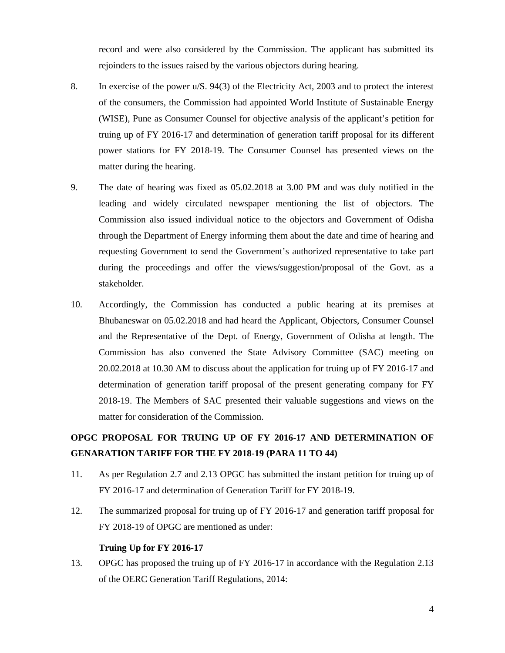record and were also considered by the Commission. The applicant has submitted its rejoinders to the issues raised by the various objectors during hearing.

- 8. In exercise of the power u/S. 94(3) of the Electricity Act, 2003 and to protect the interest of the consumers, the Commission had appointed World Institute of Sustainable Energy (WISE), Pune as Consumer Counsel for objective analysis of the applicant's petition for truing up of FY 2016-17 and determination of generation tariff proposal for its different power stations for FY 2018-19. The Consumer Counsel has presented views on the matter during the hearing.
- 9. The date of hearing was fixed as 05.02.2018 at 3.00 PM and was duly notified in the leading and widely circulated newspaper mentioning the list of objectors. The Commission also issued individual notice to the objectors and Government of Odisha through the Department of Energy informing them about the date and time of hearing and requesting Government to send the Government's authorized representative to take part during the proceedings and offer the views/suggestion/proposal of the Govt. as a stakeholder.
- 10. Accordingly, the Commission has conducted a public hearing at its premises at Bhubaneswar on 05.02.2018 and had heard the Applicant, Objectors, Consumer Counsel and the Representative of the Dept. of Energy, Government of Odisha at length. The Commission has also convened the State Advisory Committee (SAC) meeting on 20.02.2018 at 10.30 AM to discuss about the application for truing up of FY 2016-17 and determination of generation tariff proposal of the present generating company for FY 2018-19. The Members of SAC presented their valuable suggestions and views on the matter for consideration of the Commission.

# **OPGC PROPOSAL FOR TRUING UP OF FY 2016-17 AND DETERMINATION OF GENARATION TARIFF FOR THE FY 2018-19 (PARA 11 TO 44)**

- 11. As per Regulation 2.7 and 2.13 OPGC has submitted the instant petition for truing up of FY 2016-17 and determination of Generation Tariff for FY 2018-19.
- 12. The summarized proposal for truing up of FY 2016-17 and generation tariff proposal for FY 2018-19 of OPGC are mentioned as under:

#### **Truing Up for FY 2016-17**

13. OPGC has proposed the truing up of FY 2016-17 in accordance with the Regulation 2.13 of the OERC Generation Tariff Regulations, 2014: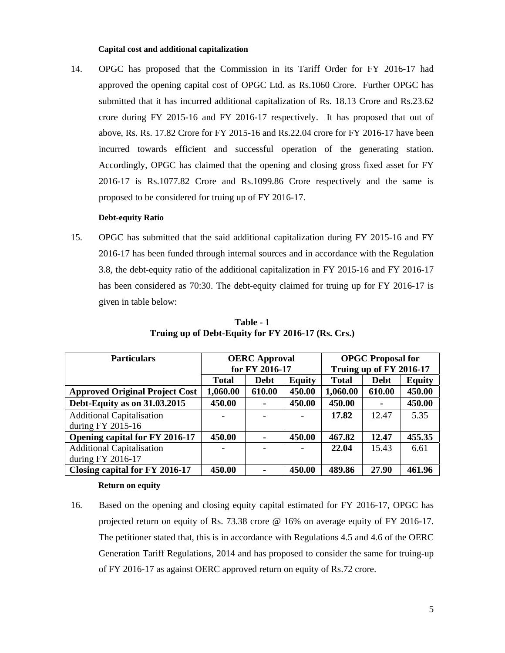#### **Capital cost and additional capitalization**

14. OPGC has proposed that the Commission in its Tariff Order for FY 2016-17 had approved the opening capital cost of OPGC Ltd. as Rs.1060 Crore. Further OPGC has submitted that it has incurred additional capitalization of Rs. 18.13 Crore and Rs.23.62 crore during FY 2015-16 and FY 2016-17 respectively. It has proposed that out of above, Rs. Rs. 17.82 Crore for FY 2015-16 and Rs.22.04 crore for FY 2016-17 have been incurred towards efficient and successful operation of the generating station. Accordingly, OPGC has claimed that the opening and closing gross fixed asset for FY 2016-17 is Rs.1077.82 Crore and Rs.1099.86 Crore respectively and the same is proposed to be considered for truing up of FY 2016-17.

#### **Debt-equity Ratio**

15. OPGC has submitted that the said additional capitalization during FY 2015-16 and FY 2016-17 has been funded through internal sources and in accordance with the Regulation 3.8, the debt-equity ratio of the additional capitalization in FY 2015-16 and FY 2016-17 has been considered as 70:30. The debt-equity claimed for truing up for FY 2016-17 is given in table below:

| <b>Particulars</b>                    | <b>OERC</b> Approval |                | <b>OPGC Proposal for</b> |                         |             |               |
|---------------------------------------|----------------------|----------------|--------------------------|-------------------------|-------------|---------------|
|                                       |                      | for FY 2016-17 |                          | Truing up of FY 2016-17 |             |               |
|                                       | <b>Total</b>         | <b>Debt</b>    | <b>Equity</b>            | <b>Total</b>            | <b>Debt</b> | <b>Equity</b> |
| <b>Approved Original Project Cost</b> | 1,060.00             | 610.00         | 450.00                   | 1,060.00                | 610.00      | 450.00        |
| Debt-Equity as on 31.03.2015          | 450.00               |                | 450.00                   | 450.00                  |             | 450.00        |
| <b>Additional Capitalisation</b>      | -                    |                |                          | 17.82                   | 12.47       | 5.35          |
| during $FY$ 2015-16                   |                      |                |                          |                         |             |               |
| Opening capital for FY 2016-17        | 450.00               |                | 450.00                   | 467.82                  | 12.47       | 455.35        |
| <b>Additional Capitalisation</b>      |                      |                |                          | 22.04                   | 15.43       | 6.61          |
| during FY 2016-17                     |                      |                |                          |                         |             |               |
| Closing capital for FY 2016-17        | 450.00               |                | 450.00                   | 489.86                  | 27.90       | 461.96        |

**Table - 1 Truing up of Debt-Equity for FY 2016-17 (Rs. Crs.)** 

#### **Return on equity**

16. Based on the opening and closing equity capital estimated for FY 2016-17, OPGC has projected return on equity of Rs. 73.38 crore @ 16% on average equity of FY 2016-17. The petitioner stated that, this is in accordance with Regulations 4.5 and 4.6 of the OERC Generation Tariff Regulations, 2014 and has proposed to consider the same for truing-up of FY 2016-17 as against OERC approved return on equity of Rs.72 crore.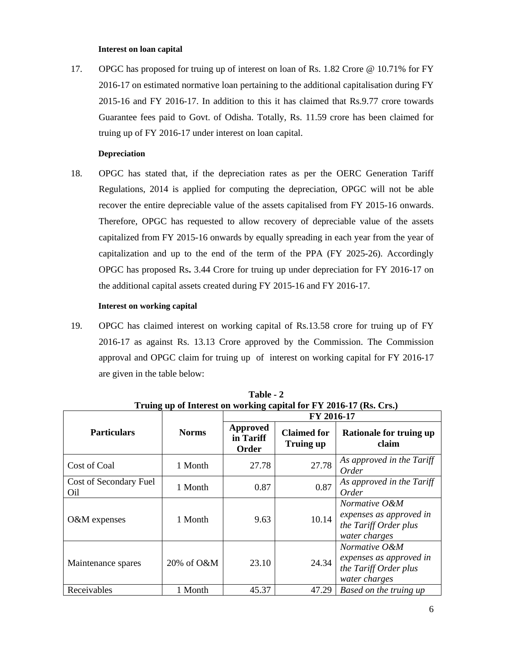#### **Interest on loan capital**

17. OPGC has proposed for truing up of interest on loan of Rs. 1.82 Crore @ 10.71% for FY 2016-17 on estimated normative loan pertaining to the additional capitalisation during FY 2015-16 and FY 2016-17. In addition to this it has claimed that Rs.9.77 crore towards Guarantee fees paid to Govt. of Odisha. Totally, Rs. 11.59 crore has been claimed for truing up of FY 2016-17 under interest on loan capital.

#### **Depreciation**

18. OPGC has stated that, if the depreciation rates as per the OERC Generation Tariff Regulations, 2014 is applied for computing the depreciation, OPGC will not be able recover the entire depreciable value of the assets capitalised from FY 2015-16 onwards. Therefore, OPGC has requested to allow recovery of depreciable value of the assets capitalized from FY 2015-16 onwards by equally spreading in each year from the year of capitalization and up to the end of the term of the PPA (FY 2025-26). Accordingly OPGC has proposed Rs**.** 3.44 Crore for truing up under depreciation for FY 2016-17 on the additional capital assets created during FY 2015-16 and FY 2016-17.

#### **Interest on working capital**

19. OPGC has claimed interest on working capital of Rs.13.58 crore for truing up of FY 2016-17 as against Rs. 13.13 Crore approved by the Commission. The Commission approval and OPGC claim for truing up of interest on working capital for FY 2016-17 are given in the table below:

|                               |              | FY 2016-17                     |                                        |                                                                                    |
|-------------------------------|--------------|--------------------------------|----------------------------------------|------------------------------------------------------------------------------------|
| <b>Particulars</b>            | <b>Norms</b> | Approved<br>in Tariff<br>Order | <b>Claimed for</b><br><b>Truing up</b> | <b>Rationale for truing up</b><br>claim                                            |
| Cost of Coal                  | 1 Month      | 27.78                          | 27.78                                  | As approved in the Tariff<br><i>Order</i>                                          |
| Cost of Secondary Fuel<br>Oil | 1 Month      | 0.87                           | 0.87                                   | As approved in the Tariff<br><i>Order</i>                                          |
| O&M expenses                  | 1 Month      | 9.63                           | 10.14                                  | Normative O&M<br>expenses as approved in<br>the Tariff Order plus<br>water charges |
| Maintenance spares            | 20% of O&M   | 23.10                          | 24.34                                  | Normative O&M<br>expenses as approved in<br>the Tariff Order plus<br>water charges |
| Receivables                   | 1 Month      | 45.37                          | 47.29                                  | Based on the truing up                                                             |

**Table - 2 Truing up of Interest on working capital for FY 2016-17 (Rs. Crs.)**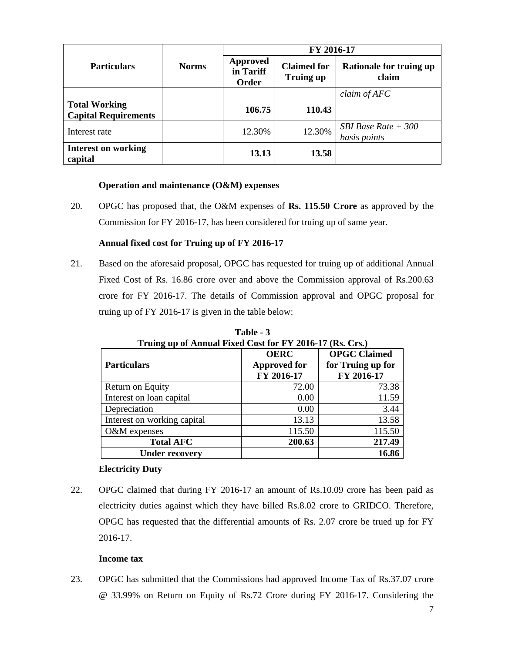|                                                     |                                                       |                                        | FY 2016-17                              |                                             |
|-----------------------------------------------------|-------------------------------------------------------|----------------------------------------|-----------------------------------------|---------------------------------------------|
| <b>Particulars</b>                                  | <b>Approved</b><br><b>Norms</b><br>in Tariff<br>Order | <b>Claimed for</b><br><b>Truing up</b> | <b>Rationale for truing up</b><br>claim |                                             |
|                                                     |                                                       |                                        |                                         | claim of AFC                                |
| <b>Total Working</b><br><b>Capital Requirements</b> |                                                       | 106.75                                 | 110.43                                  |                                             |
| Interest rate                                       |                                                       | 12.30%                                 | 12.30%                                  | <i>SBI Base Rate</i> $+300$<br>basis points |
| <b>Interest on working</b><br>capital               |                                                       | 13.13                                  | 13.58                                   |                                             |

# **Operation and maintenance (O&M) expenses**

20. OPGC has proposed that, the O&M expenses of **Rs. 115.50 Crore** as approved by the Commission for FY 2016-17, has been considered for truing up of same year.

# **Annual fixed cost for Truing up of FY 2016-17**

21. Based on the aforesaid proposal, OPGC has requested for truing up of additional Annual Fixed Cost of Rs. 16.86 crore over and above the Commission approval of Rs.200.63 crore for FY 2016-17. The details of Commission approval and OPGC proposal for truing up of FY 2016-17 is given in the table below:

| Truing up of Annual Fixed Cost for FY 2016-17 (Rs. Crs.) |                     |                     |  |
|----------------------------------------------------------|---------------------|---------------------|--|
|                                                          | <b>OERC</b>         | <b>OPGC</b> Claimed |  |
| <b>Particulars</b>                                       | <b>Approved for</b> | for Truing up for   |  |
|                                                          | FY 2016-17          | FY 2016-17          |  |
| Return on Equity                                         | 72.00               | 73.38               |  |
| Interest on loan capital                                 | 0.00                | 11.59               |  |
| Depreciation                                             | 0.00                | 3.44                |  |
| Interest on working capital                              | 13.13               | 13.58               |  |
| O&M expenses                                             | 115.50              | 115.50              |  |
| <b>Total AFC</b>                                         | 200.63              | 217.49              |  |
| <b>Under recovery</b>                                    |                     | 16.86               |  |

**Table - 3** 

# **Electricity Duty**

22. OPGC claimed that during FY 2016-17 an amount of Rs.10.09 crore has been paid as electricity duties against which they have billed Rs.8.02 crore to GRIDCO. Therefore, OPGC has requested that the differential amounts of Rs. 2.07 crore be trued up for FY 2016-17.

# **Income tax**

23. OPGC has submitted that the Commissions had approved Income Tax of Rs.37.07 crore @ 33.99% on Return on Equity of Rs.72 Crore during FY 2016-17. Considering the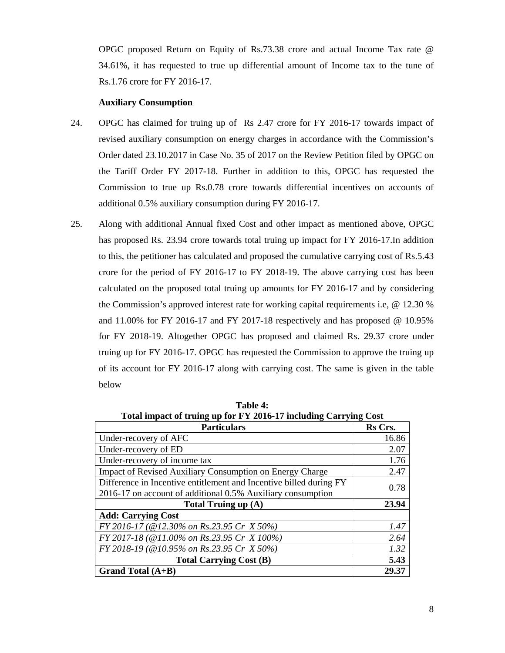OPGC proposed Return on Equity of Rs.73.38 crore and actual Income Tax rate @ 34.61%, it has requested to true up differential amount of Income tax to the tune of Rs.1.76 crore for FY 2016-17.

## **Auxiliary Consumption**

- 24. OPGC has claimed for truing up of Rs 2.47 crore for FY 2016-17 towards impact of revised auxiliary consumption on energy charges in accordance with the Commission's Order dated 23.10.2017 in Case No. 35 of 2017 on the Review Petition filed by OPGC on the Tariff Order FY 2017-18. Further in addition to this, OPGC has requested the Commission to true up Rs.0.78 crore towards differential incentives on accounts of additional 0.5% auxiliary consumption during FY 2016-17.
- 25. Along with additional Annual fixed Cost and other impact as mentioned above, OPGC has proposed Rs. 23.94 crore towards total truing up impact for FY 2016-17.In addition to this, the petitioner has calculated and proposed the cumulative carrying cost of Rs.5.43 crore for the period of FY 2016-17 to FY 2018-19. The above carrying cost has been calculated on the proposed total truing up amounts for FY 2016-17 and by considering the Commission's approved interest rate for working capital requirements i.e, @ 12.30 % and 11.00% for FY 2016-17 and FY 2017-18 respectively and has proposed  $@$  10.95% for FY 2018-19. Altogether OPGC has proposed and claimed Rs. 29.37 crore under truing up for FY 2016-17. OPGC has requested the Commission to approve the truing up of its account for FY 2016-17 along with carrying cost. The same is given in the table below

| Total impact of truing up for FY 2016-17 including Carrying Cost   |         |  |
|--------------------------------------------------------------------|---------|--|
| <b>Particulars</b>                                                 | Rs Crs. |  |
| Under-recovery of AFC                                              | 16.86   |  |
| Under-recovery of ED                                               | 2.07    |  |
| Under-recovery of income tax                                       | 1.76    |  |
| <b>Impact of Revised Auxiliary Consumption on Energy Charge</b>    | 2.47    |  |
| Difference in Incentive entitlement and Incentive billed during FY |         |  |
| 2016-17 on account of additional 0.5% Auxiliary consumption        | 0.78    |  |
| Total Truing up (A)                                                | 23.94   |  |
| <b>Add: Carrying Cost</b>                                          |         |  |
| FY 2016-17 (@12.30% on Rs.23.95 Cr X 50%)                          | 1.47    |  |
| FY 2017-18 (@11.00% on Rs.23.95 Cr X 100%)                         | 2.64    |  |
| FY 2018-19 (@10.95% on Rs.23.95 Cr X 50%)                          | 1.32    |  |
| <b>Total Carrying Cost (B)</b>                                     | 5.43    |  |
| Grand Total $(A+B)$                                                | 29.37   |  |

**Table 4:**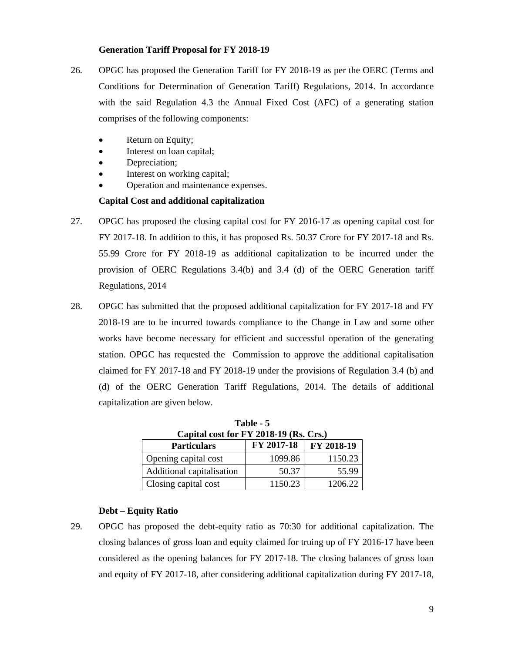# **Generation Tariff Proposal for FY 2018-19**

- 26. OPGC has proposed the Generation Tariff for FY 2018-19 as per the OERC (Terms and Conditions for Determination of Generation Tariff) Regulations, 2014. In accordance with the said Regulation 4.3 the Annual Fixed Cost (AFC) of a generating station comprises of the following components:
	- Return on Equity;
	- Interest on loan capital;
	- Depreciation;
	- Interest on working capital;
	- Operation and maintenance expenses.

# **Capital Cost and additional capitalization**

- 27. OPGC has proposed the closing capital cost for FY 2016-17 as opening capital cost for FY 2017-18. In addition to this, it has proposed Rs. 50.37 Crore for FY 2017-18 and Rs. 55.99 Crore for FY 2018-19 as additional capitalization to be incurred under the provision of OERC Regulations 3.4(b) and 3.4 (d) of the OERC Generation tariff Regulations, 2014
- 28. OPGC has submitted that the proposed additional capitalization for FY 2017-18 and FY 2018-19 are to be incurred towards compliance to the Change in Law and some other works have become necessary for efficient and successful operation of the generating station. OPGC has requested the Commission to approve the additional capitalisation claimed for FY 2017-18 and FY 2018-19 under the provisions of Regulation 3.4 (b) and (d) of the OERC Generation Tariff Regulations, 2014. The details of additional capitalization are given below.

| Capital cost for FY 2018-19 (Rs. Crs.)                 |         |         |  |  |
|--------------------------------------------------------|---------|---------|--|--|
| FY 2017-18<br>$\vert$ FY 2018-19<br><b>Particulars</b> |         |         |  |  |
| Opening capital cost                                   | 1099.86 | 1150.23 |  |  |
| Additional capitalisation                              | 50.37   | 55.99   |  |  |
| Closing capital cost                                   | 1150.23 | 1206.22 |  |  |

**Table - 5** 

# **Debt – Equity Ratio**

29. OPGC has proposed the debt-equity ratio as 70:30 for additional capitalization. The closing balances of gross loan and equity claimed for truing up of FY 2016-17 have been considered as the opening balances for FY 2017-18. The closing balances of gross loan and equity of FY 2017-18, after considering additional capitalization during FY 2017-18,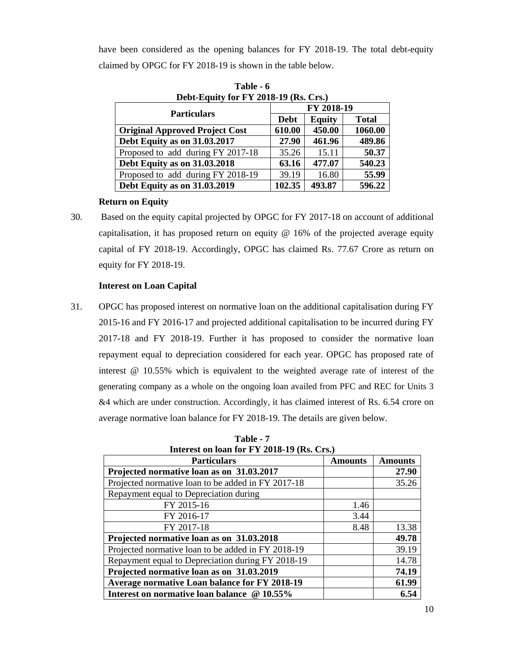have been considered as the opening balances for FY 2018-19. The total debt-equity claimed by OPGC for FY 2018-19 is shown in the table below.

| Dept-Equity for $f Y 2018 - 19$ (Ks. Crs.) |             |               |              |  |  |
|--------------------------------------------|-------------|---------------|--------------|--|--|
|                                            |             | FY 2018-19    |              |  |  |
| <b>Particulars</b>                         | <b>Debt</b> | <b>Equity</b> | <b>Total</b> |  |  |
| <b>Original Approved Project Cost</b>      | 610.00      | 450.00        | 1060.00      |  |  |
| Debt Equity as on 31.03.2017               | 27.90       | 461.96        | 489.86       |  |  |
| Proposed to add during FY 2017-18          | 35.26       | 15.11         | 50.37        |  |  |
| <b>Debt Equity as on 31.03.2018</b>        | 63.16       | 477.07        | 540.23       |  |  |
| Proposed to add during FY 2018-19          | 39.19       | 16.80         | 55.99        |  |  |
| Debt Equity as on 31.03.2019               | 102.35      | 493.87        | 596.22       |  |  |

**Table - 6 Debt-Equity for FY 2018-19 (Rs. Crs.)** 

# **Return on Equity**

30. Based on the equity capital projected by OPGC for FY 2017-18 on account of additional capitalisation, it has proposed return on equity @ 16% of the projected average equity capital of FY 2018-19. Accordingly, OPGC has claimed Rs. 77.67 Crore as return on equity for FY 2018-19.

# **Interest on Loan Capital**

31. OPGC has proposed interest on normative loan on the additional capitalisation during FY 2015-16 and FY 2016-17 and projected additional capitalisation to be incurred during FY 2017-18 and FY 2018-19. Further it has proposed to consider the normative loan repayment equal to depreciation considered for each year. OPGC has proposed rate of interest @ 10.55% which is equivalent to the weighted average rate of interest of the generating company as a whole on the ongoing loan availed from PFC and REC for Units 3 &4 which are under construction. Accordingly, it has claimed interest of Rs. 6.54 crore on average normative loan balance for FY 2018-19. The details are given below.

| Interest on loan for $F Y 2018 - 19$ (Rs. Crs.)<br><b>Particulars</b> | <b>Amounts</b> | <b>Amounts</b> |
|-----------------------------------------------------------------------|----------------|----------------|
| Projected normative loan as on 31.03.2017                             |                | 27.90          |
| Projected normative loan to be added in FY 2017-18                    |                | 35.26          |
| Repayment equal to Depreciation during                                |                |                |
| FY 2015-16                                                            | 1.46           |                |
| FY 2016-17                                                            | 3.44           |                |
| FY 2017-18                                                            | 8.48           | 13.38          |
| Projected normative loan as on 31.03.2018                             |                | 49.78          |
| Projected normative loan to be added in FY 2018-19                    |                | 39.19          |
| Repayment equal to Depreciation during FY 2018-19                     |                | 14.78          |
| Projected normative loan as on 31.03.2019                             |                | 74.19          |
| Average normative Loan balance for FY 2018-19                         |                | 61.99          |
| Interest on normative loan balance @ 10.55%                           |                | 6.54           |

**Table - 7**<br>**Interest on loop for EV 20 Interest on loan for FY 2018-19 (Rs. Crs.)**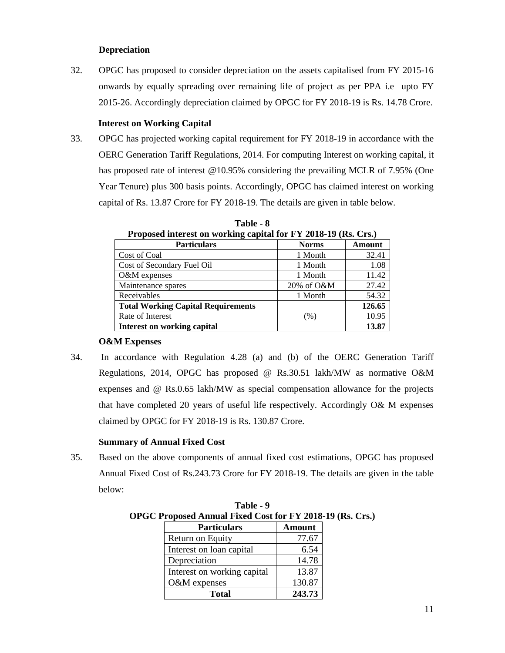# **Depreciation**

32. OPGC has proposed to consider depreciation on the assets capitalised from FY 2015-16 onwards by equally spreading over remaining life of project as per PPA i.e upto FY 2015-26. Accordingly depreciation claimed by OPGC for FY 2018-19 is Rs. 14.78 Crore.

# **Interest on Working Capital**

33. OPGC has projected working capital requirement for FY 2018-19 in accordance with the OERC Generation Tariff Regulations, 2014. For computing Interest on working capital, it has proposed rate of interest @10.95% considering the prevailing MCLR of 7.95% (One Year Tenure) plus 300 basis points. Accordingly, OPGC has claimed interest on working capital of Rs. 13.87 Crore for FY 2018-19. The details are given in table below.

| <b>Froposed interest on working capital for F 1 2010-19 (KS. CTS.)</b> |                 |               |  |
|------------------------------------------------------------------------|-----------------|---------------|--|
| <b>Particulars</b>                                                     | <b>Norms</b>    | <b>Amount</b> |  |
| Cost of Coal                                                           | 1 Month         | 32.41         |  |
| Cost of Secondary Fuel Oil                                             | 1 Month         | 1.08          |  |
| O&M expenses                                                           | 1 Month         | 11.42         |  |
| Maintenance spares                                                     | 20% of O&M      | 27.42         |  |
| Receivables                                                            | 1 Month         | 54.32         |  |
| <b>Total Working Capital Requirements</b>                              |                 | 126.65        |  |
| Rate of Interest                                                       | $\mathcal{C}_0$ | 10.95         |  |
| Interest on working capital                                            |                 | 13.87         |  |

**Table - 8**  Proposed interest on working capital for FV 2018-19 (Rs. Crs.)

#### **O&M Expenses**

34. In accordance with Regulation 4.28 (a) and (b) of the OERC Generation Tariff Regulations, 2014, OPGC has proposed @ Rs.30.51 lakh/MW as normative O&M expenses and @ Rs.0.65 lakh/MW as special compensation allowance for the projects that have completed 20 years of useful life respectively. Accordingly O& M expenses claimed by OPGC for FY 2018-19 is Rs. 130.87 Crore.

# **Summary of Annual Fixed Cost**

35. Based on the above components of annual fixed cost estimations, OPGC has proposed Annual Fixed Cost of Rs.243.73 Crore for FY 2018-19. The details are given in the table below:

| Froposed Annual Fixed Cost for FY 2018-1 |               |  |  |
|------------------------------------------|---------------|--|--|
| <b>Particulars</b>                       | <b>Amount</b> |  |  |
| Return on Equity                         | 77.67         |  |  |
| Interest on loan capital                 | 6.54          |  |  |
| Depreciation                             | 14.78         |  |  |
| Interest on working capital              | 13.87         |  |  |
| O&M expenses                             | 130.87        |  |  |
| <b>Total</b>                             | 243.73        |  |  |

**Table - 9 OPGC Proposed Annual Fixed Cost for FY 2018-19 (Rs. Crs.)**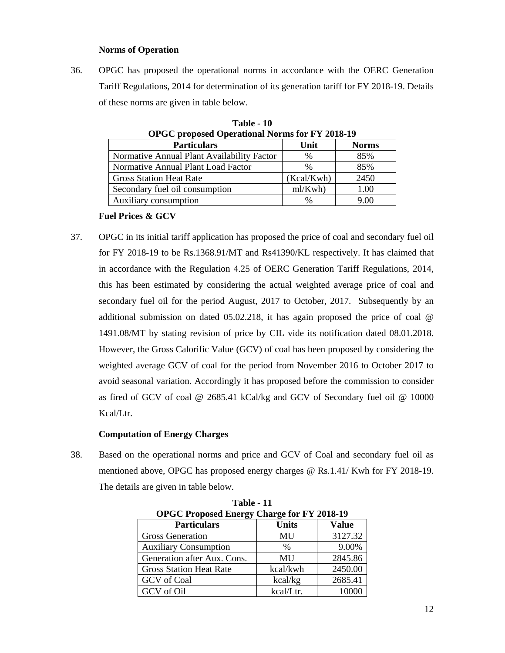# **Norms of Operation**

36. OPGC has proposed the operational norms in accordance with the OERC Generation Tariff Regulations, 2014 for determination of its generation tariff for FY 2018-19. Details of these norms are given in table below.

| OPGC proposed Operational Norms for F Y 2018-19 |            |              |  |
|-------------------------------------------------|------------|--------------|--|
| <b>Particulars</b>                              | Unit       | <b>Norms</b> |  |
| Normative Annual Plant Availability Factor      | $\%$       | 85%          |  |
| Normative Annual Plant Load Factor              | $\%$       | 85%          |  |
| <b>Gross Station Heat Rate</b>                  | (Kcal/Kwh) | 2450         |  |
| Secondary fuel oil consumption                  | ml/Kwh)    | 1.00         |  |
| Auxiliary consumption                           | $\%$       | 9.00         |  |

**Table - 10 OPGC proposed Operational Norms for FY 2018-19** 

# **Fuel Prices & GCV**

37. OPGC in its initial tariff application has proposed the price of coal and secondary fuel oil for FY 2018-19 to be Rs.1368.91/MT and Rs41390/KL respectively. It has claimed that in accordance with the Regulation 4.25 of OERC Generation Tariff Regulations, 2014, this has been estimated by considering the actual weighted average price of coal and secondary fuel oil for the period August, 2017 to October, 2017. Subsequently by an additional submission on dated 05.02.218, it has again proposed the price of coal @ 1491.08/MT by stating revision of price by CIL vide its notification dated 08.01.2018. However, the Gross Calorific Value (GCV) of coal has been proposed by considering the weighted average GCV of coal for the period from November 2016 to October 2017 to avoid seasonal variation. Accordingly it has proposed before the commission to consider as fired of GCV of coal @ 2685.41 kCal/kg and GCV of Secondary fuel oil @ 10000 Kcal/Ltr.

# **Computation of Energy Charges**

38. Based on the operational norms and price and GCV of Coal and secondary fuel oil as mentioned above, OPGC has proposed energy charges @ Rs.1.41/ Kwh for FY 2018-19. The details are given in table below.

| .                                                  |               |         |  |  |  |  |  |
|----------------------------------------------------|---------------|---------|--|--|--|--|--|
| <b>OPGC Proposed Energy Charge for FY 2018-19</b>  |               |         |  |  |  |  |  |
| <b>Units</b><br><b>Value</b><br><b>Particulars</b> |               |         |  |  |  |  |  |
| <b>Gross Generation</b>                            | MU            | 3127.32 |  |  |  |  |  |
| <b>Auxiliary Consumption</b>                       | $\frac{0}{0}$ | 9.00%   |  |  |  |  |  |
| Generation after Aux. Cons.                        | MU            | 2845.86 |  |  |  |  |  |
| <b>Gross Station Heat Rate</b>                     | kcal/kwh      | 2450.00 |  |  |  |  |  |
| GCV of Coal                                        | kcal/kg       | 2685.41 |  |  |  |  |  |
| GCV of Oil                                         | kcal/Ltr.     |         |  |  |  |  |  |

**Table - 11**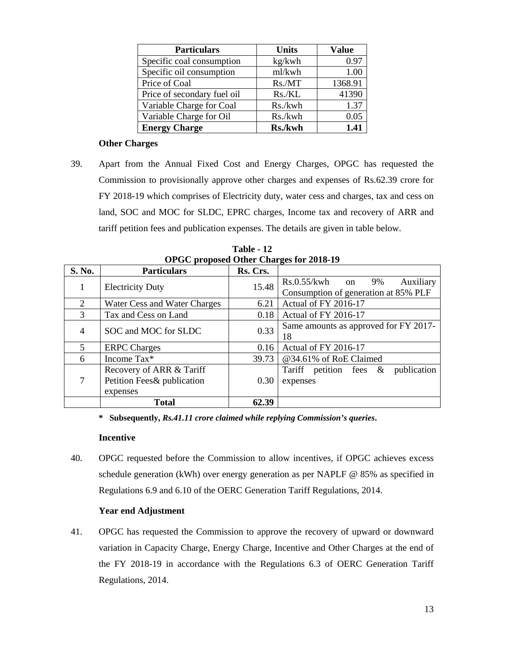| <b>Particulars</b>          | <b>Units</b> | <b>Value</b> |
|-----------------------------|--------------|--------------|
| Specific coal consumption   | kg/kwh       | 0.97         |
| Specific oil consumption    | ml/kwh       | 1.00         |
| Price of Coal               | Rs./MT       | 1368.91      |
| Price of secondary fuel oil | Rs.KL        | 41390        |
| Variable Charge for Coal    | Rs./kwh      | 1.37         |
| Variable Charge for Oil     | Rs./kwh      | 0.05         |
| <b>Energy Charge</b>        | Rs./kwh      | 1.41         |

# **Other Charges**

39. Apart from the Annual Fixed Cost and Energy Charges, OPGC has requested the Commission to provisionally approve other charges and expenses of Rs.62.39 crore for FY 2018-19 which comprises of Electricity duty, water cess and charges, tax and cess on land, SOC and MOC for SLDC, EPRC charges, Income tax and recovery of ARR and tariff petition fees and publication expenses. The details are given in table below.

|                | Of GC proposed Other Charges for 2010-12 |          |                                          |  |  |  |  |
|----------------|------------------------------------------|----------|------------------------------------------|--|--|--|--|
| S. No.         | <b>Particulars</b>                       | Rs. Crs. |                                          |  |  |  |  |
|                | <b>Electricity Duty</b>                  | 15.48    | $Rs.0.55/kwh$ on<br>9%<br>Auxiliary      |  |  |  |  |
|                |                                          |          | Consumption of generation at 85% PLF     |  |  |  |  |
| $\overline{2}$ | Water Cess and Water Charges             | 6.21     | Actual of FY 2016-17                     |  |  |  |  |
| 3              | Tax and Cess on Land                     | 0.18     | Actual of FY 2016-17                     |  |  |  |  |
| $\overline{4}$ | SOC and MOC for SLDC                     |          | Same amounts as approved for FY 2017-    |  |  |  |  |
|                |                                          | 0.33     | 18                                       |  |  |  |  |
| 5              | <b>ERPC</b> Charges                      | 0.16     | Actual of FY 2016-17                     |  |  |  |  |
| 6              | Income Tax*                              | 39.73    | @34.61% of RoE Claimed                   |  |  |  |  |
|                | Recovery of ARR & Tariff                 |          | publication<br>Tariff petition fees $\&$ |  |  |  |  |
| 7              | Petition Fees& publication               | 0.30     | expenses                                 |  |  |  |  |
|                | expenses                                 |          |                                          |  |  |  |  |
|                | <b>Total</b>                             | 62.39    |                                          |  |  |  |  |

**Table - 12 OPGC proposed Other Charges for 2018-19** 

**\* Subsequently,** *Rs.41.11 crore claimed while replying Commission's queries***.**

#### **Incentive**

40. OPGC requested before the Commission to allow incentives, if OPGC achieves excess schedule generation (kWh) over energy generation as per NAPLF @ 85% as specified in Regulations 6.9 and 6.10 of the OERC Generation Tariff Regulations, 2014.

# **Year end Adjustment**

41. OPGC has requested the Commission to approve the recovery of upward or downward variation in Capacity Charge, Energy Charge, Incentive and Other Charges at the end of the FY 2018-19 in accordance with the Regulations 6.3 of OERC Generation Tariff Regulations, 2014.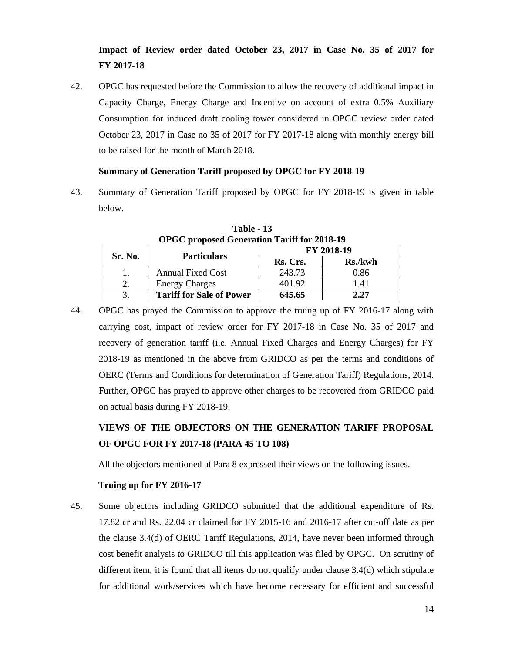# **Impact of Review order dated October 23, 2017 in Case No. 35 of 2017 for FY 2017-18**

42. OPGC has requested before the Commission to allow the recovery of additional impact in Capacity Charge, Energy Charge and Incentive on account of extra 0.5% Auxiliary Consumption for induced draft cooling tower considered in OPGC review order dated October 23, 2017 in Case no 35 of 2017 for FY 2017-18 along with monthly energy bill to be raised for the month of March 2018.

# **Summary of Generation Tariff proposed by OPGC for FY 2018-19**

43. Summary of Generation Tariff proposed by OPGC for FY 2018-19 is given in table below.

| OPGC proposed Generation Tariff for 2018-19 |                                 |          |            |  |  |  |  |
|---------------------------------------------|---------------------------------|----------|------------|--|--|--|--|
| Sr. No.                                     | <b>Particulars</b>              |          | FY 2018-19 |  |  |  |  |
|                                             |                                 | Rs. Crs. | Rs./kwh    |  |  |  |  |
|                                             | <b>Annual Fixed Cost</b>        | 243.73   | 0.86       |  |  |  |  |
|                                             | <b>Energy Charges</b>           | 401.92   | 1.41       |  |  |  |  |
|                                             | <b>Tariff for Sale of Power</b> | 645.65   | 2.27       |  |  |  |  |

**Table - 13 OPGC proposed Generation Tariff for 2018-19** 

44. OPGC has prayed the Commission to approve the truing up of FY 2016-17 along with carrying cost, impact of review order for FY 2017-18 in Case No. 35 of 2017 and recovery of generation tariff (i.e. Annual Fixed Charges and Energy Charges) for FY 2018-19 as mentioned in the above from GRIDCO as per the terms and conditions of OERC (Terms and Conditions for determination of Generation Tariff) Regulations, 2014. Further, OPGC has prayed to approve other charges to be recovered from GRIDCO paid on actual basis during FY 2018-19.

# **VIEWS OF THE OBJECTORS ON THE GENERATION TARIFF PROPOSAL OF OPGC FOR FY 2017-18 (PARA 45 TO 108)**

All the objectors mentioned at Para 8 expressed their views on the following issues.

# **Truing up for FY 2016-17**

45. Some objectors including GRIDCO submitted that the additional expenditure of Rs. 17.82 cr and Rs. 22.04 cr claimed for FY 2015-16 and 2016-17 after cut-off date as per the clause 3.4(d) of OERC Tariff Regulations, 2014, have never been informed through cost benefit analysis to GRIDCO till this application was filed by OPGC. On scrutiny of different item, it is found that all items do not qualify under clause 3.4(d) which stipulate for additional work/services which have become necessary for efficient and successful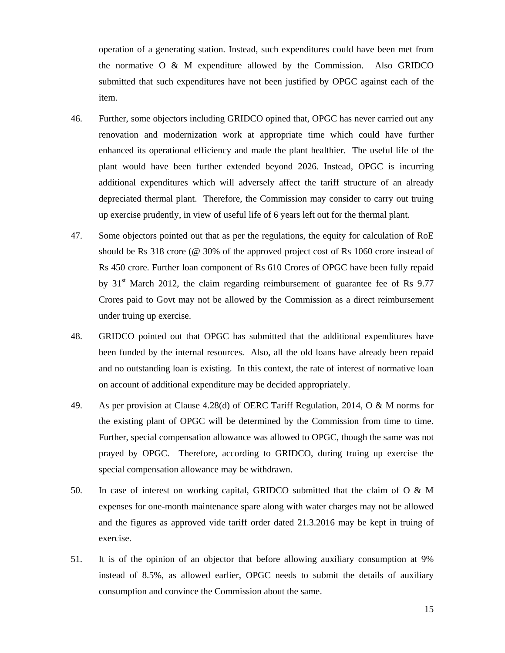operation of a generating station. Instead, such expenditures could have been met from the normative O & M expenditure allowed by the Commission. Also GRIDCO submitted that such expenditures have not been justified by OPGC against each of the item.

- 46. Further, some objectors including GRIDCO opined that, OPGC has never carried out any renovation and modernization work at appropriate time which could have further enhanced its operational efficiency and made the plant healthier. The useful life of the plant would have been further extended beyond 2026. Instead, OPGC is incurring additional expenditures which will adversely affect the tariff structure of an already depreciated thermal plant. Therefore, the Commission may consider to carry out truing up exercise prudently, in view of useful life of 6 years left out for the thermal plant.
- 47. Some objectors pointed out that as per the regulations, the equity for calculation of RoE should be Rs 318 crore (@ 30% of the approved project cost of Rs 1060 crore instead of Rs 450 crore. Further loan component of Rs 610 Crores of OPGC have been fully repaid by  $31<sup>st</sup>$  March 2012, the claim regarding reimbursement of guarantee fee of Rs 9.77 Crores paid to Govt may not be allowed by the Commission as a direct reimbursement under truing up exercise.
- 48. GRIDCO pointed out that OPGC has submitted that the additional expenditures have been funded by the internal resources. Also, all the old loans have already been repaid and no outstanding loan is existing. In this context, the rate of interest of normative loan on account of additional expenditure may be decided appropriately.
- 49. As per provision at Clause 4.28(d) of OERC Tariff Regulation, 2014, O & M norms for the existing plant of OPGC will be determined by the Commission from time to time. Further, special compensation allowance was allowed to OPGC, though the same was not prayed by OPGC. Therefore, according to GRIDCO, during truing up exercise the special compensation allowance may be withdrawn.
- 50. In case of interest on working capital, GRIDCO submitted that the claim of O & M expenses for one-month maintenance spare along with water charges may not be allowed and the figures as approved vide tariff order dated 21.3.2016 may be kept in truing of exercise.
- 51. It is of the opinion of an objector that before allowing auxiliary consumption at 9% instead of 8.5%, as allowed earlier, OPGC needs to submit the details of auxiliary consumption and convince the Commission about the same.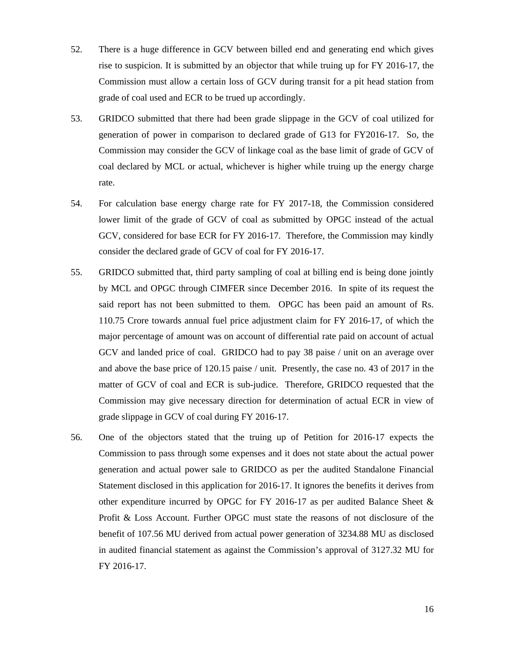- 52. There is a huge difference in GCV between billed end and generating end which gives rise to suspicion. It is submitted by an objector that while truing up for FY 2016-17, the Commission must allow a certain loss of GCV during transit for a pit head station from grade of coal used and ECR to be trued up accordingly.
- 53. GRIDCO submitted that there had been grade slippage in the GCV of coal utilized for generation of power in comparison to declared grade of G13 for FY2016-17. So, the Commission may consider the GCV of linkage coal as the base limit of grade of GCV of coal declared by MCL or actual, whichever is higher while truing up the energy charge rate.
- 54. For calculation base energy charge rate for FY 2017-18, the Commission considered lower limit of the grade of GCV of coal as submitted by OPGC instead of the actual GCV, considered for base ECR for FY 2016-17. Therefore, the Commission may kindly consider the declared grade of GCV of coal for FY 2016-17.
- 55. GRIDCO submitted that, third party sampling of coal at billing end is being done jointly by MCL and OPGC through CIMFER since December 2016. In spite of its request the said report has not been submitted to them. OPGC has been paid an amount of Rs. 110.75 Crore towards annual fuel price adjustment claim for FY 2016-17, of which the major percentage of amount was on account of differential rate paid on account of actual GCV and landed price of coal. GRIDCO had to pay 38 paise / unit on an average over and above the base price of 120.15 paise / unit. Presently, the case no. 43 of 2017 in the matter of GCV of coal and ECR is sub-judice. Therefore, GRIDCO requested that the Commission may give necessary direction for determination of actual ECR in view of grade slippage in GCV of coal during FY 2016-17.
- 56. One of the objectors stated that the truing up of Petition for 2016-17 expects the Commission to pass through some expenses and it does not state about the actual power generation and actual power sale to GRIDCO as per the audited Standalone Financial Statement disclosed in this application for 2016-17. It ignores the benefits it derives from other expenditure incurred by OPGC for FY 2016-17 as per audited Balance Sheet & Profit & Loss Account. Further OPGC must state the reasons of not disclosure of the benefit of 107.56 MU derived from actual power generation of 3234.88 MU as disclosed in audited financial statement as against the Commission's approval of 3127.32 MU for FY 2016-17.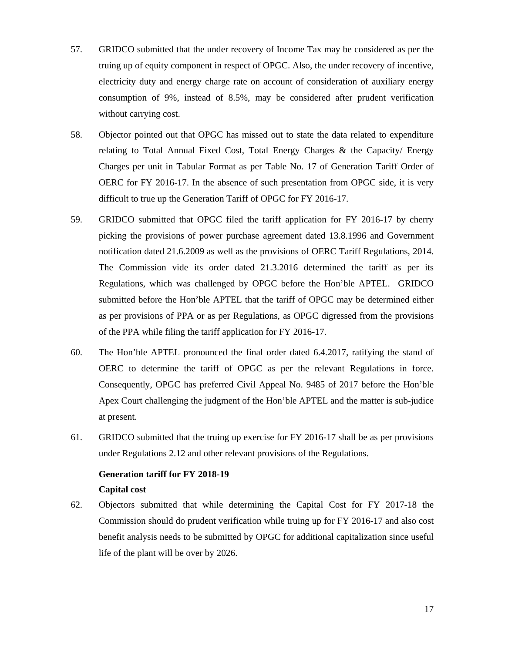- 57. GRIDCO submitted that the under recovery of Income Tax may be considered as per the truing up of equity component in respect of OPGC. Also, the under recovery of incentive, electricity duty and energy charge rate on account of consideration of auxiliary energy consumption of 9%, instead of 8.5%, may be considered after prudent verification without carrying cost.
- 58. Objector pointed out that OPGC has missed out to state the data related to expenditure relating to Total Annual Fixed Cost, Total Energy Charges & the Capacity/ Energy Charges per unit in Tabular Format as per Table No. 17 of Generation Tariff Order of OERC for FY 2016-17. In the absence of such presentation from OPGC side, it is very difficult to true up the Generation Tariff of OPGC for FY 2016-17.
- 59. GRIDCO submitted that OPGC filed the tariff application for FY 2016-17 by cherry picking the provisions of power purchase agreement dated 13.8.1996 and Government notification dated 21.6.2009 as well as the provisions of OERC Tariff Regulations, 2014. The Commission vide its order dated 21.3.2016 determined the tariff as per its Regulations, which was challenged by OPGC before the Hon'ble APTEL. GRIDCO submitted before the Hon'ble APTEL that the tariff of OPGC may be determined either as per provisions of PPA or as per Regulations, as OPGC digressed from the provisions of the PPA while filing the tariff application for FY 2016-17.
- 60. The Hon'ble APTEL pronounced the final order dated 6.4.2017, ratifying the stand of OERC to determine the tariff of OPGC as per the relevant Regulations in force. Consequently, OPGC has preferred Civil Appeal No. 9485 of 2017 before the Hon'ble Apex Court challenging the judgment of the Hon'ble APTEL and the matter is sub-judice at present.
- 61. GRIDCO submitted that the truing up exercise for FY 2016-17 shall be as per provisions under Regulations 2.12 and other relevant provisions of the Regulations.

# **Generation tariff for FY 2018-19**

- **Capital cost**
- 62. Objectors submitted that while determining the Capital Cost for FY 2017-18 the Commission should do prudent verification while truing up for FY 2016-17 and also cost benefit analysis needs to be submitted by OPGC for additional capitalization since useful life of the plant will be over by 2026.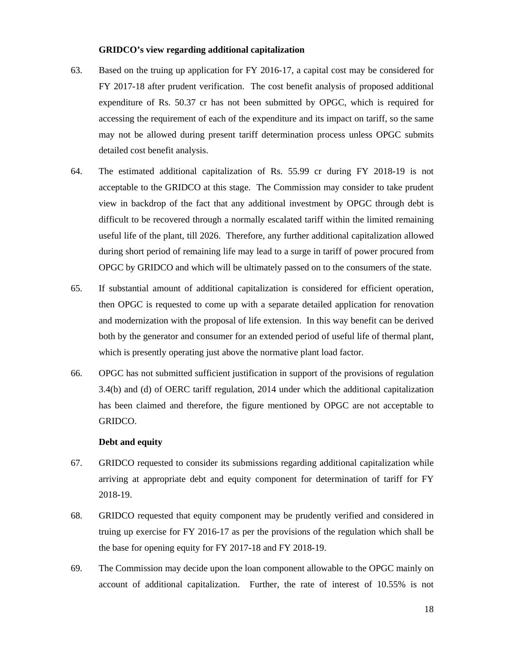#### **GRIDCO's view regarding additional capitalization**

- 63. Based on the truing up application for FY 2016-17, a capital cost may be considered for FY 2017-18 after prudent verification. The cost benefit analysis of proposed additional expenditure of Rs. 50.37 cr has not been submitted by OPGC, which is required for accessing the requirement of each of the expenditure and its impact on tariff, so the same may not be allowed during present tariff determination process unless OPGC submits detailed cost benefit analysis.
- 64. The estimated additional capitalization of Rs. 55.99 cr during FY 2018-19 is not acceptable to the GRIDCO at this stage. The Commission may consider to take prudent view in backdrop of the fact that any additional investment by OPGC through debt is difficult to be recovered through a normally escalated tariff within the limited remaining useful life of the plant, till 2026. Therefore, any further additional capitalization allowed during short period of remaining life may lead to a surge in tariff of power procured from OPGC by GRIDCO and which will be ultimately passed on to the consumers of the state.
- 65. If substantial amount of additional capitalization is considered for efficient operation, then OPGC is requested to come up with a separate detailed application for renovation and modernization with the proposal of life extension. In this way benefit can be derived both by the generator and consumer for an extended period of useful life of thermal plant, which is presently operating just above the normative plant load factor.
- 66. OPGC has not submitted sufficient justification in support of the provisions of regulation 3.4(b) and (d) of OERC tariff regulation, 2014 under which the additional capitalization has been claimed and therefore, the figure mentioned by OPGC are not acceptable to GRIDCO.

#### **Debt and equity**

- 67. GRIDCO requested to consider its submissions regarding additional capitalization while arriving at appropriate debt and equity component for determination of tariff for FY 2018-19.
- 68. GRIDCO requested that equity component may be prudently verified and considered in truing up exercise for FY 2016-17 as per the provisions of the regulation which shall be the base for opening equity for FY 2017-18 and FY 2018-19.
- 69. The Commission may decide upon the loan component allowable to the OPGC mainly on account of additional capitalization. Further, the rate of interest of 10.55% is not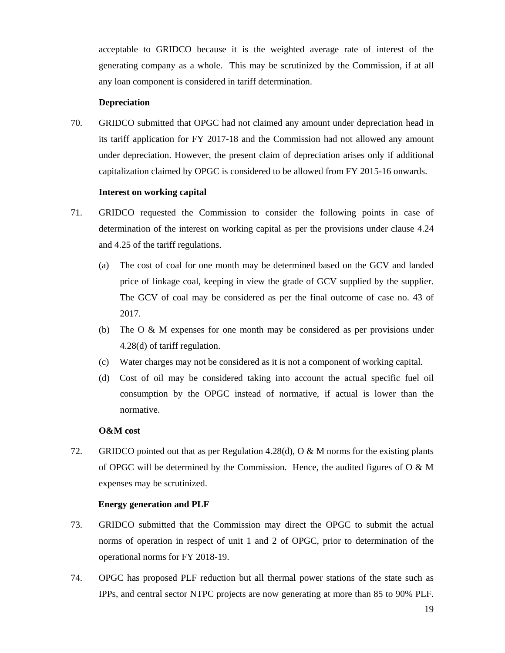acceptable to GRIDCO because it is the weighted average rate of interest of the generating company as a whole. This may be scrutinized by the Commission, if at all any loan component is considered in tariff determination.

## **Depreciation**

70. GRIDCO submitted that OPGC had not claimed any amount under depreciation head in its tariff application for FY 2017-18 and the Commission had not allowed any amount under depreciation. However, the present claim of depreciation arises only if additional capitalization claimed by OPGC is considered to be allowed from FY 2015-16 onwards.

#### **Interest on working capital**

- 71. GRIDCO requested the Commission to consider the following points in case of determination of the interest on working capital as per the provisions under clause 4.24 and 4.25 of the tariff regulations.
	- (a) The cost of coal for one month may be determined based on the GCV and landed price of linkage coal, keeping in view the grade of GCV supplied by the supplier. The GCV of coal may be considered as per the final outcome of case no. 43 of 2017.
	- (b) The O & M expenses for one month may be considered as per provisions under 4.28(d) of tariff regulation.
	- (c) Water charges may not be considered as it is not a component of working capital.
	- (d) Cost of oil may be considered taking into account the actual specific fuel oil consumption by the OPGC instead of normative, if actual is lower than the normative.

#### **O&M cost**

72. GRIDCO pointed out that as per Regulation 4.28(d),  $\overline{O} \& M$  norms for the existing plants of OPGC will be determined by the Commission. Hence, the audited figures of  $\overline{O} \& M$ expenses may be scrutinized.

#### **Energy generation and PLF**

- 73. GRIDCO submitted that the Commission may direct the OPGC to submit the actual norms of operation in respect of unit 1 and 2 of OPGC, prior to determination of the operational norms for FY 2018-19.
- 74. OPGC has proposed PLF reduction but all thermal power stations of the state such as IPPs, and central sector NTPC projects are now generating at more than 85 to 90% PLF.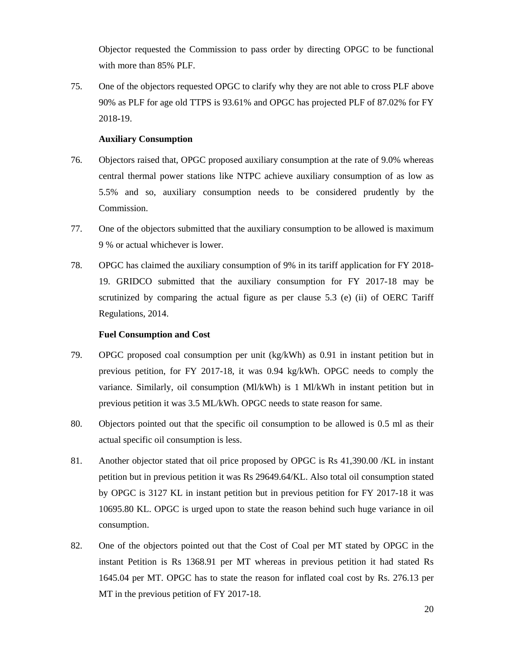Objector requested the Commission to pass order by directing OPGC to be functional with more than 85% PLF.

75. One of the objectors requested OPGC to clarify why they are not able to cross PLF above 90% as PLF for age old TTPS is 93.61% and OPGC has projected PLF of 87.02% for FY 2018-19.

### **Auxiliary Consumption**

- 76. Objectors raised that, OPGC proposed auxiliary consumption at the rate of 9.0% whereas central thermal power stations like NTPC achieve auxiliary consumption of as low as 5.5% and so, auxiliary consumption needs to be considered prudently by the Commission.
- 77. One of the objectors submitted that the auxiliary consumption to be allowed is maximum 9 % or actual whichever is lower.
- 78. OPGC has claimed the auxiliary consumption of 9% in its tariff application for FY 2018- 19. GRIDCO submitted that the auxiliary consumption for FY 2017-18 may be scrutinized by comparing the actual figure as per clause  $5.3$  (e) (ii) of OERC Tariff Regulations, 2014.

#### **Fuel Consumption and Cost**

- 79. OPGC proposed coal consumption per unit (kg/kWh) as 0.91 in instant petition but in previous petition, for FY 2017-18, it was 0.94 kg/kWh. OPGC needs to comply the variance. Similarly, oil consumption (Ml/kWh) is 1 Ml/kWh in instant petition but in previous petition it was 3.5 ML/kWh. OPGC needs to state reason for same.
- 80. Objectors pointed out that the specific oil consumption to be allowed is 0.5 ml as their actual specific oil consumption is less.
- 81. Another objector stated that oil price proposed by OPGC is Rs 41,390.00 /KL in instant petition but in previous petition it was Rs 29649.64/KL. Also total oil consumption stated by OPGC is 3127 KL in instant petition but in previous petition for FY 2017-18 it was 10695.80 KL. OPGC is urged upon to state the reason behind such huge variance in oil consumption.
- 82. One of the objectors pointed out that the Cost of Coal per MT stated by OPGC in the instant Petition is Rs 1368.91 per MT whereas in previous petition it had stated Rs 1645.04 per MT. OPGC has to state the reason for inflated coal cost by Rs. 276.13 per MT in the previous petition of FY 2017-18.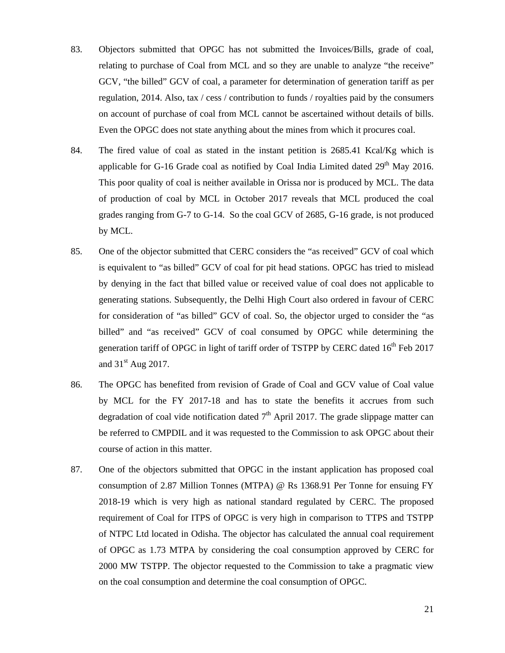- 83. Objectors submitted that OPGC has not submitted the Invoices/Bills, grade of coal, relating to purchase of Coal from MCL and so they are unable to analyze "the receive" GCV, "the billed" GCV of coal, a parameter for determination of generation tariff as per regulation, 2014. Also, tax / cess / contribution to funds / royalties paid by the consumers on account of purchase of coal from MCL cannot be ascertained without details of bills. Even the OPGC does not state anything about the mines from which it procures coal.
- 84. The fired value of coal as stated in the instant petition is 2685.41 Kcal/Kg which is applicable for G-16 Grade coal as notified by Coal India Limited dated  $29<sup>th</sup>$  May 2016. This poor quality of coal is neither available in Orissa nor is produced by MCL. The data of production of coal by MCL in October 2017 reveals that MCL produced the coal grades ranging from G-7 to G-14. So the coal GCV of 2685, G-16 grade, is not produced by MCL.
- 85. One of the objector submitted that CERC considers the "as received" GCV of coal which is equivalent to "as billed" GCV of coal for pit head stations. OPGC has tried to mislead by denying in the fact that billed value or received value of coal does not applicable to generating stations. Subsequently, the Delhi High Court also ordered in favour of CERC for consideration of "as billed" GCV of coal. So, the objector urged to consider the "as billed" and "as received" GCV of coal consumed by OPGC while determining the generation tariff of OPGC in light of tariff order of TSTPP by CERC dated  $16<sup>th</sup>$  Feb 2017 and  $31<sup>st</sup>$  Aug 2017.
- 86. The OPGC has benefited from revision of Grade of Coal and GCV value of Coal value by MCL for the FY 2017-18 and has to state the benefits it accrues from such degradation of coal vide notification dated  $7<sup>th</sup>$  April 2017. The grade slippage matter can be referred to CMPDIL and it was requested to the Commission to ask OPGC about their course of action in this matter.
- 87. One of the objectors submitted that OPGC in the instant application has proposed coal consumption of 2.87 Million Tonnes (MTPA) @ Rs 1368.91 Per Tonne for ensuing FY 2018-19 which is very high as national standard regulated by CERC. The proposed requirement of Coal for ITPS of OPGC is very high in comparison to TTPS and TSTPP of NTPC Ltd located in Odisha. The objector has calculated the annual coal requirement of OPGC as 1.73 MTPA by considering the coal consumption approved by CERC for 2000 MW TSTPP. The objector requested to the Commission to take a pragmatic view on the coal consumption and determine the coal consumption of OPGC.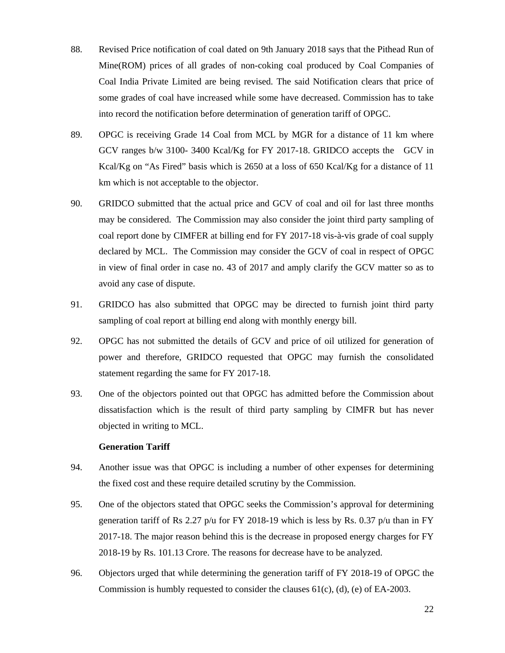- 88. Revised Price notification of coal dated on 9th January 2018 says that the Pithead Run of Mine(ROM) prices of all grades of non-coking coal produced by Coal Companies of Coal India Private Limited are being revised. The said Notification clears that price of some grades of coal have increased while some have decreased. Commission has to take into record the notification before determination of generation tariff of OPGC.
- 89. OPGC is receiving Grade 14 Coal from MCL by MGR for a distance of 11 km where GCV ranges b/w 3100- 3400 Kcal/Kg for FY 2017-18. GRIDCO accepts the GCV in Kcal/Kg on "As Fired" basis which is 2650 at a loss of 650 Kcal/Kg for a distance of 11 km which is not acceptable to the objector.
- 90. GRIDCO submitted that the actual price and GCV of coal and oil for last three months may be considered. The Commission may also consider the joint third party sampling of coal report done by CIMFER at billing end for FY 2017-18 vis-à-vis grade of coal supply declared by MCL. The Commission may consider the GCV of coal in respect of OPGC in view of final order in case no. 43 of 2017 and amply clarify the GCV matter so as to avoid any case of dispute.
- 91. GRIDCO has also submitted that OPGC may be directed to furnish joint third party sampling of coal report at billing end along with monthly energy bill.
- 92. OPGC has not submitted the details of GCV and price of oil utilized for generation of power and therefore, GRIDCO requested that OPGC may furnish the consolidated statement regarding the same for FY 2017-18.
- 93. One of the objectors pointed out that OPGC has admitted before the Commission about dissatisfaction which is the result of third party sampling by CIMFR but has never objected in writing to MCL.

## **Generation Tariff**

- 94. Another issue was that OPGC is including a number of other expenses for determining the fixed cost and these require detailed scrutiny by the Commission.
- 95. One of the objectors stated that OPGC seeks the Commission's approval for determining generation tariff of Rs 2.27 p/u for FY 2018-19 which is less by Rs. 0.37 p/u than in FY 2017-18. The major reason behind this is the decrease in proposed energy charges for FY 2018-19 by Rs. 101.13 Crore. The reasons for decrease have to be analyzed.
- 96. Objectors urged that while determining the generation tariff of FY 2018-19 of OPGC the Commission is humbly requested to consider the clauses  $61(c)$ , (d), (e) of EA-2003.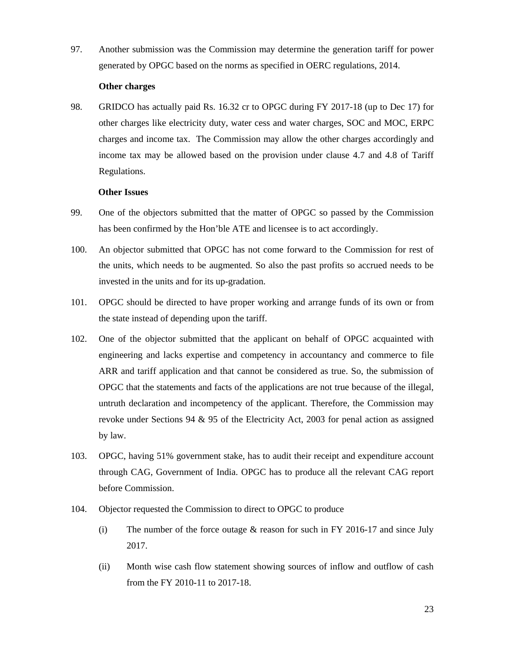97. Another submission was the Commission may determine the generation tariff for power generated by OPGC based on the norms as specified in OERC regulations, 2014.

#### **Other charges**

98. GRIDCO has actually paid Rs. 16.32 cr to OPGC during FY 2017-18 (up to Dec 17) for other charges like electricity duty, water cess and water charges, SOC and MOC, ERPC charges and income tax. The Commission may allow the other charges accordingly and income tax may be allowed based on the provision under clause 4.7 and 4.8 of Tariff Regulations.

# **Other Issues**

- 99. One of the objectors submitted that the matter of OPGC so passed by the Commission has been confirmed by the Hon'ble ATE and licensee is to act accordingly.
- 100. An objector submitted that OPGC has not come forward to the Commission for rest of the units, which needs to be augmented. So also the past profits so accrued needs to be invested in the units and for its up-gradation.
- 101. OPGC should be directed to have proper working and arrange funds of its own or from the state instead of depending upon the tariff.
- 102. One of the objector submitted that the applicant on behalf of OPGC acquainted with engineering and lacks expertise and competency in accountancy and commerce to file ARR and tariff application and that cannot be considered as true. So, the submission of OPGC that the statements and facts of the applications are not true because of the illegal, untruth declaration and incompetency of the applicant. Therefore, the Commission may revoke under Sections 94 & 95 of the Electricity Act, 2003 for penal action as assigned by law.
- 103. OPGC, having 51% government stake, has to audit their receipt and expenditure account through CAG, Government of India. OPGC has to produce all the relevant CAG report before Commission.
- 104. Objector requested the Commission to direct to OPGC to produce
	- (i) The number of the force outage  $&$  reason for such in FY 2016-17 and since July 2017.
	- (ii) Month wise cash flow statement showing sources of inflow and outflow of cash from the FY 2010-11 to 2017-18.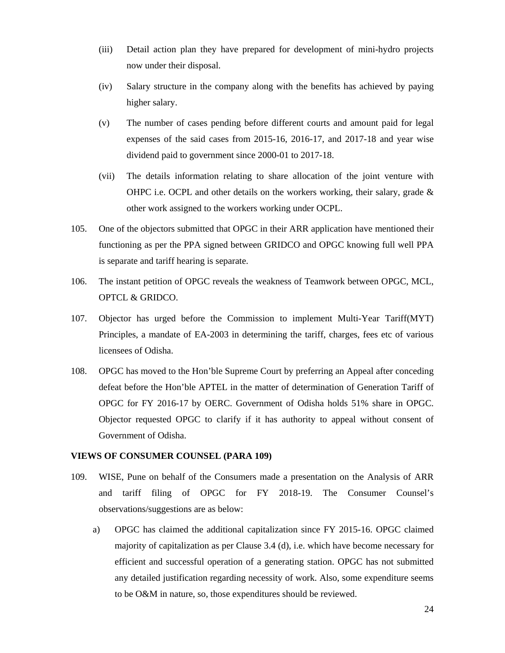- (iii) Detail action plan they have prepared for development of mini-hydro projects now under their disposal.
- (iv) Salary structure in the company along with the benefits has achieved by paying higher salary.
- (v) The number of cases pending before different courts and amount paid for legal expenses of the said cases from 2015-16, 2016-17, and 2017-18 and year wise dividend paid to government since 2000-01 to 2017-18.
- (vii) The details information relating to share allocation of the joint venture with OHPC i.e. OCPL and other details on the workers working, their salary, grade  $\&$ other work assigned to the workers working under OCPL.
- 105. One of the objectors submitted that OPGC in their ARR application have mentioned their functioning as per the PPA signed between GRIDCO and OPGC knowing full well PPA is separate and tariff hearing is separate.
- 106. The instant petition of OPGC reveals the weakness of Teamwork between OPGC, MCL, OPTCL & GRIDCO.
- 107. Objector has urged before the Commission to implement Multi-Year Tariff(MYT) Principles, a mandate of EA-2003 in determining the tariff, charges, fees etc of various licensees of Odisha.
- 108. OPGC has moved to the Hon'ble Supreme Court by preferring an Appeal after conceding defeat before the Hon'ble APTEL in the matter of determination of Generation Tariff of OPGC for FY 2016-17 by OERC. Government of Odisha holds 51% share in OPGC. Objector requested OPGC to clarify if it has authority to appeal without consent of Government of Odisha.

### **VIEWS OF CONSUMER COUNSEL (PARA 109)**

- 109. WISE, Pune on behalf of the Consumers made a presentation on the Analysis of ARR and tariff filing of OPGC for FY 2018-19. The Consumer Counsel's observations/suggestions are as below:
	- a) OPGC has claimed the additional capitalization since FY 2015-16. OPGC claimed majority of capitalization as per Clause 3.4 (d), i.e. which have become necessary for efficient and successful operation of a generating station. OPGC has not submitted any detailed justification regarding necessity of work. Also, some expenditure seems to be O&M in nature, so, those expenditures should be reviewed.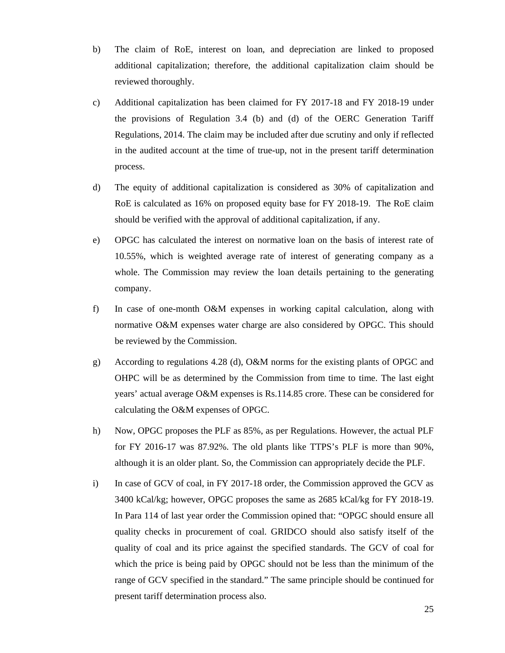- b) The claim of RoE, interest on loan, and depreciation are linked to proposed additional capitalization; therefore, the additional capitalization claim should be reviewed thoroughly.
- c) Additional capitalization has been claimed for FY 2017-18 and FY 2018-19 under the provisions of Regulation 3.4 (b) and (d) of the OERC Generation Tariff Regulations, 2014. The claim may be included after due scrutiny and only if reflected in the audited account at the time of true-up, not in the present tariff determination process.
- d) The equity of additional capitalization is considered as 30% of capitalization and RoE is calculated as 16% on proposed equity base for FY 2018-19. The RoE claim should be verified with the approval of additional capitalization, if any.
- e) OPGC has calculated the interest on normative loan on the basis of interest rate of 10.55%, which is weighted average rate of interest of generating company as a whole. The Commission may review the loan details pertaining to the generating company.
- f) In case of one-month O&M expenses in working capital calculation, along with normative O&M expenses water charge are also considered by OPGC. This should be reviewed by the Commission.
- g) According to regulations 4.28 (d), O&M norms for the existing plants of OPGC and OHPC will be as determined by the Commission from time to time. The last eight years' actual average O&M expenses is Rs.114.85 crore. These can be considered for calculating the O&M expenses of OPGC.
- h) Now, OPGC proposes the PLF as 85%, as per Regulations. However, the actual PLF for FY 2016-17 was 87.92%. The old plants like TTPS's PLF is more than 90%, although it is an older plant. So, the Commission can appropriately decide the PLF.
- i) In case of GCV of coal, in FY 2017-18 order, the Commission approved the GCV as 3400 kCal/kg; however, OPGC proposes the same as 2685 kCal/kg for FY 2018-19. In Para 114 of last year order the Commission opined that: "OPGC should ensure all quality checks in procurement of coal. GRIDCO should also satisfy itself of the quality of coal and its price against the specified standards. The GCV of coal for which the price is being paid by OPGC should not be less than the minimum of the range of GCV specified in the standard." The same principle should be continued for present tariff determination process also.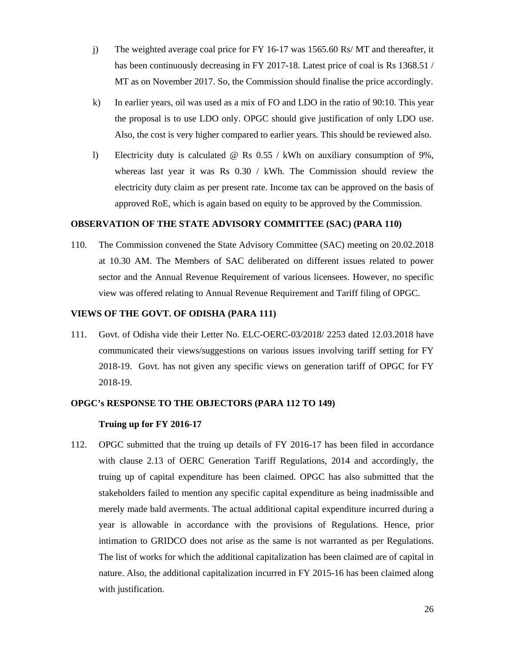- j) The weighted average coal price for FY 16-17 was 1565.60 Rs/ MT and thereafter, it has been continuously decreasing in FY 2017-18. Latest price of coal is Rs 1368.51 / MT as on November 2017. So, the Commission should finalise the price accordingly.
- k) In earlier years, oil was used as a mix of FO and LDO in the ratio of 90:10. This year the proposal is to use LDO only. OPGC should give justification of only LDO use. Also, the cost is very higher compared to earlier years. This should be reviewed also.
- l) Electricity duty is calculated @ Rs 0.55 / kWh on auxiliary consumption of 9%, whereas last year it was Rs  $0.30 /$  kWh. The Commission should review the electricity duty claim as per present rate. Income tax can be approved on the basis of approved RoE, which is again based on equity to be approved by the Commission.

#### **OBSERVATION OF THE STATE ADVISORY COMMITTEE (SAC) (PARA 110)**

110. The Commission convened the State Advisory Committee (SAC) meeting on 20.02.2018 at 10.30 AM. The Members of SAC deliberated on different issues related to power sector and the Annual Revenue Requirement of various licensees. However, no specific view was offered relating to Annual Revenue Requirement and Tariff filing of OPGC.

# **VIEWS OF THE GOVT. OF ODISHA (PARA 111)**

111. Govt. of Odisha vide their Letter No. ELC-OERC-03/2018/ 2253 dated 12.03.2018 have communicated their views/suggestions on various issues involving tariff setting for FY 2018-19. Govt. has not given any specific views on generation tariff of OPGC for FY 2018-19.

# **OPGC's RESPONSE TO THE OBJECTORS (PARA 112 TO 149)**

### **Truing up for FY 2016-17**

112. OPGC submitted that the truing up details of FY 2016-17 has been filed in accordance with clause 2.13 of OERC Generation Tariff Regulations, 2014 and accordingly, the truing up of capital expenditure has been claimed. OPGC has also submitted that the stakeholders failed to mention any specific capital expenditure as being inadmissible and merely made bald averments. The actual additional capital expenditure incurred during a year is allowable in accordance with the provisions of Regulations. Hence, prior intimation to GRIDCO does not arise as the same is not warranted as per Regulations. The list of works for which the additional capitalization has been claimed are of capital in nature. Also, the additional capitalization incurred in FY 2015-16 has been claimed along with justification.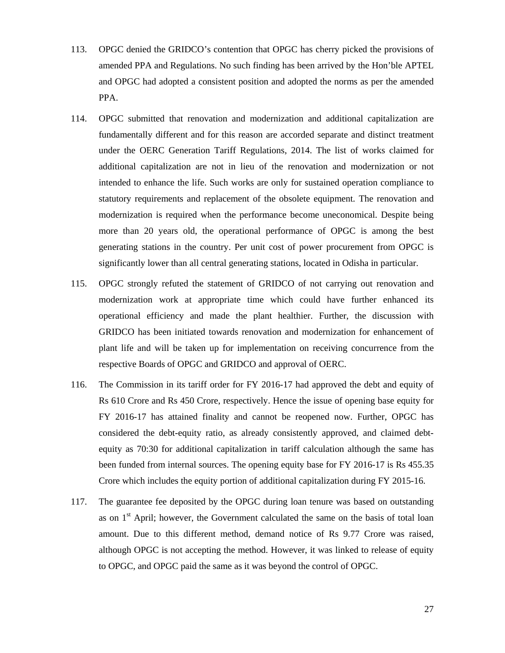- 113. OPGC denied the GRIDCO's contention that OPGC has cherry picked the provisions of amended PPA and Regulations. No such finding has been arrived by the Hon'ble APTEL and OPGC had adopted a consistent position and adopted the norms as per the amended PPA.
- 114. OPGC submitted that renovation and modernization and additional capitalization are fundamentally different and for this reason are accorded separate and distinct treatment under the OERC Generation Tariff Regulations, 2014. The list of works claimed for additional capitalization are not in lieu of the renovation and modernization or not intended to enhance the life. Such works are only for sustained operation compliance to statutory requirements and replacement of the obsolete equipment. The renovation and modernization is required when the performance become uneconomical. Despite being more than 20 years old, the operational performance of OPGC is among the best generating stations in the country. Per unit cost of power procurement from OPGC is significantly lower than all central generating stations, located in Odisha in particular.
- 115. OPGC strongly refuted the statement of GRIDCO of not carrying out renovation and modernization work at appropriate time which could have further enhanced its operational efficiency and made the plant healthier. Further, the discussion with GRIDCO has been initiated towards renovation and modernization for enhancement of plant life and will be taken up for implementation on receiving concurrence from the respective Boards of OPGC and GRIDCO and approval of OERC.
- 116. The Commission in its tariff order for FY 2016-17 had approved the debt and equity of Rs 610 Crore and Rs 450 Crore, respectively. Hence the issue of opening base equity for FY 2016-17 has attained finality and cannot be reopened now. Further, OPGC has considered the debt-equity ratio, as already consistently approved, and claimed debtequity as 70:30 for additional capitalization in tariff calculation although the same has been funded from internal sources. The opening equity base for FY 2016-17 is Rs 455.35 Crore which includes the equity portion of additional capitalization during FY 2015-16.
- 117. The guarantee fee deposited by the OPGC during loan tenure was based on outstanding as on  $1<sup>st</sup>$  April; however, the Government calculated the same on the basis of total loan amount. Due to this different method, demand notice of Rs 9.77 Crore was raised, although OPGC is not accepting the method. However, it was linked to release of equity to OPGC, and OPGC paid the same as it was beyond the control of OPGC.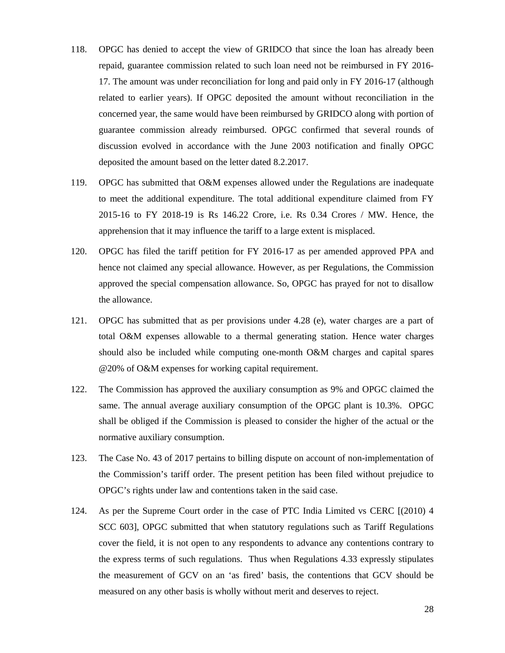- 118. OPGC has denied to accept the view of GRIDCO that since the loan has already been repaid, guarantee commission related to such loan need not be reimbursed in FY 2016- 17. The amount was under reconciliation for long and paid only in FY 2016-17 (although related to earlier years). If OPGC deposited the amount without reconciliation in the concerned year, the same would have been reimbursed by GRIDCO along with portion of guarantee commission already reimbursed. OPGC confirmed that several rounds of discussion evolved in accordance with the June 2003 notification and finally OPGC deposited the amount based on the letter dated 8.2.2017.
- 119. OPGC has submitted that O&M expenses allowed under the Regulations are inadequate to meet the additional expenditure. The total additional expenditure claimed from FY 2015-16 to FY 2018-19 is Rs 146.22 Crore, i.e. Rs 0.34 Crores / MW. Hence, the apprehension that it may influence the tariff to a large extent is misplaced.
- 120. OPGC has filed the tariff petition for FY 2016-17 as per amended approved PPA and hence not claimed any special allowance. However, as per Regulations, the Commission approved the special compensation allowance. So, OPGC has prayed for not to disallow the allowance.
- 121. OPGC has submitted that as per provisions under 4.28 (e), water charges are a part of total O&M expenses allowable to a thermal generating station. Hence water charges should also be included while computing one-month O&M charges and capital spares @20% of O&M expenses for working capital requirement.
- 122. The Commission has approved the auxiliary consumption as 9% and OPGC claimed the same. The annual average auxiliary consumption of the OPGC plant is 10.3%. OPGC shall be obliged if the Commission is pleased to consider the higher of the actual or the normative auxiliary consumption.
- 123. The Case No. 43 of 2017 pertains to billing dispute on account of non-implementation of the Commission's tariff order. The present petition has been filed without prejudice to OPGC's rights under law and contentions taken in the said case.
- 124. As per the Supreme Court order in the case of PTC India Limited vs CERC [(2010) 4 SCC 603], OPGC submitted that when statutory regulations such as Tariff Regulations cover the field, it is not open to any respondents to advance any contentions contrary to the express terms of such regulations. Thus when Regulations 4.33 expressly stipulates the measurement of GCV on an 'as fired' basis, the contentions that GCV should be measured on any other basis is wholly without merit and deserves to reject.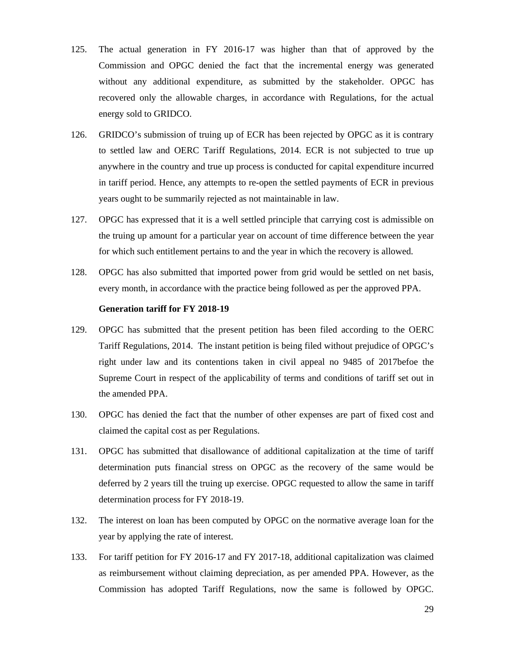- 125. The actual generation in FY 2016-17 was higher than that of approved by the Commission and OPGC denied the fact that the incremental energy was generated without any additional expenditure, as submitted by the stakeholder. OPGC has recovered only the allowable charges, in accordance with Regulations, for the actual energy sold to GRIDCO.
- 126. GRIDCO's submission of truing up of ECR has been rejected by OPGC as it is contrary to settled law and OERC Tariff Regulations, 2014. ECR is not subjected to true up anywhere in the country and true up process is conducted for capital expenditure incurred in tariff period. Hence, any attempts to re-open the settled payments of ECR in previous years ought to be summarily rejected as not maintainable in law.
- 127. OPGC has expressed that it is a well settled principle that carrying cost is admissible on the truing up amount for a particular year on account of time difference between the year for which such entitlement pertains to and the year in which the recovery is allowed.
- 128. OPGC has also submitted that imported power from grid would be settled on net basis, every month, in accordance with the practice being followed as per the approved PPA.

#### **Generation tariff for FY 2018-19**

- 129. OPGC has submitted that the present petition has been filed according to the OERC Tariff Regulations, 2014. The instant petition is being filed without prejudice of OPGC's right under law and its contentions taken in civil appeal no 9485 of 2017befoe the Supreme Court in respect of the applicability of terms and conditions of tariff set out in the amended PPA.
- 130. OPGC has denied the fact that the number of other expenses are part of fixed cost and claimed the capital cost as per Regulations.
- 131. OPGC has submitted that disallowance of additional capitalization at the time of tariff determination puts financial stress on OPGC as the recovery of the same would be deferred by 2 years till the truing up exercise. OPGC requested to allow the same in tariff determination process for FY 2018-19.
- 132. The interest on loan has been computed by OPGC on the normative average loan for the year by applying the rate of interest.
- 133. For tariff petition for FY 2016-17 and FY 2017-18, additional capitalization was claimed as reimbursement without claiming depreciation, as per amended PPA. However, as the Commission has adopted Tariff Regulations, now the same is followed by OPGC.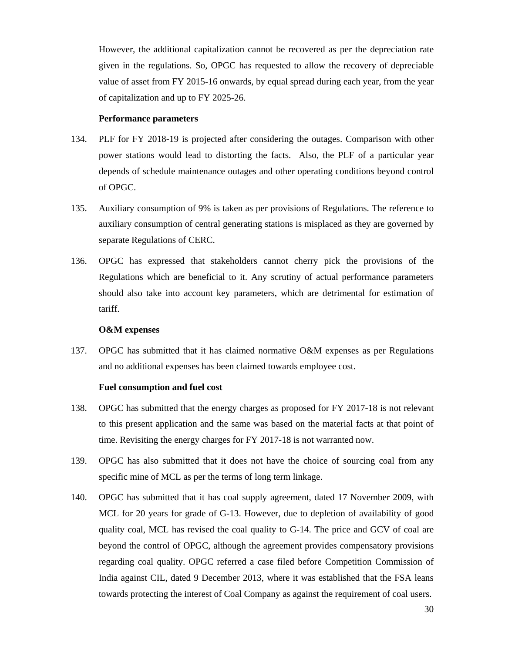However, the additional capitalization cannot be recovered as per the depreciation rate given in the regulations. So, OPGC has requested to allow the recovery of depreciable value of asset from FY 2015-16 onwards, by equal spread during each year, from the year of capitalization and up to FY 2025-26.

#### **Performance parameters**

- 134. PLF for FY 2018-19 is projected after considering the outages. Comparison with other power stations would lead to distorting the facts. Also, the PLF of a particular year depends of schedule maintenance outages and other operating conditions beyond control of OPGC.
- 135. Auxiliary consumption of 9% is taken as per provisions of Regulations. The reference to auxiliary consumption of central generating stations is misplaced as they are governed by separate Regulations of CERC.
- 136. OPGC has expressed that stakeholders cannot cherry pick the provisions of the Regulations which are beneficial to it. Any scrutiny of actual performance parameters should also take into account key parameters, which are detrimental for estimation of tariff.

#### **O&M expenses**

137. OPGC has submitted that it has claimed normative O&M expenses as per Regulations and no additional expenses has been claimed towards employee cost.

#### **Fuel consumption and fuel cost**

- 138. OPGC has submitted that the energy charges as proposed for FY 2017-18 is not relevant to this present application and the same was based on the material facts at that point of time. Revisiting the energy charges for FY 2017-18 is not warranted now.
- 139. OPGC has also submitted that it does not have the choice of sourcing coal from any specific mine of MCL as per the terms of long term linkage.
- 140. OPGC has submitted that it has coal supply agreement, dated 17 November 2009, with MCL for 20 years for grade of G-13. However, due to depletion of availability of good quality coal, MCL has revised the coal quality to G-14. The price and GCV of coal are beyond the control of OPGC, although the agreement provides compensatory provisions regarding coal quality. OPGC referred a case filed before Competition Commission of India against CIL, dated 9 December 2013, where it was established that the FSA leans towards protecting the interest of Coal Company as against the requirement of coal users.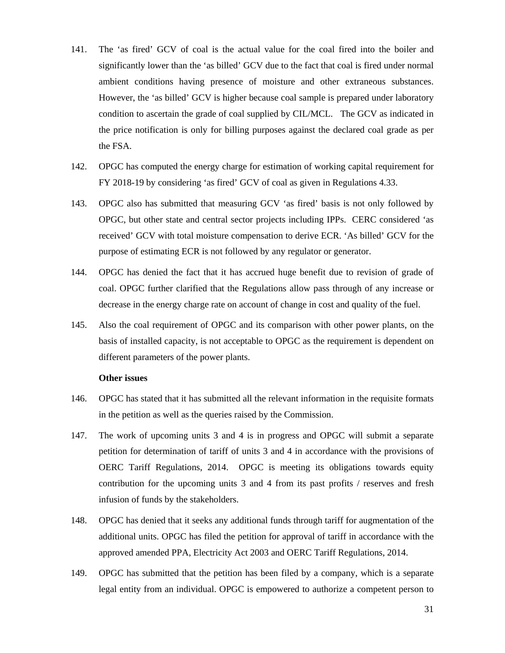- 141. The 'as fired' GCV of coal is the actual value for the coal fired into the boiler and significantly lower than the 'as billed' GCV due to the fact that coal is fired under normal ambient conditions having presence of moisture and other extraneous substances. However, the 'as billed' GCV is higher because coal sample is prepared under laboratory condition to ascertain the grade of coal supplied by CIL/MCL. The GCV as indicated in the price notification is only for billing purposes against the declared coal grade as per the FSA.
- 142. OPGC has computed the energy charge for estimation of working capital requirement for FY 2018-19 by considering 'as fired' GCV of coal as given in Regulations 4.33.
- 143. OPGC also has submitted that measuring GCV 'as fired' basis is not only followed by OPGC, but other state and central sector projects including IPPs. CERC considered 'as received' GCV with total moisture compensation to derive ECR. 'As billed' GCV for the purpose of estimating ECR is not followed by any regulator or generator.
- 144. OPGC has denied the fact that it has accrued huge benefit due to revision of grade of coal. OPGC further clarified that the Regulations allow pass through of any increase or decrease in the energy charge rate on account of change in cost and quality of the fuel.
- 145. Also the coal requirement of OPGC and its comparison with other power plants, on the basis of installed capacity, is not acceptable to OPGC as the requirement is dependent on different parameters of the power plants.

## **Other issues**

- 146. OPGC has stated that it has submitted all the relevant information in the requisite formats in the petition as well as the queries raised by the Commission.
- 147. The work of upcoming units 3 and 4 is in progress and OPGC will submit a separate petition for determination of tariff of units 3 and 4 in accordance with the provisions of OERC Tariff Regulations, 2014. OPGC is meeting its obligations towards equity contribution for the upcoming units 3 and 4 from its past profits / reserves and fresh infusion of funds by the stakeholders.
- 148. OPGC has denied that it seeks any additional funds through tariff for augmentation of the additional units. OPGC has filed the petition for approval of tariff in accordance with the approved amended PPA, Electricity Act 2003 and OERC Tariff Regulations, 2014.
- 149. OPGC has submitted that the petition has been filed by a company, which is a separate legal entity from an individual. OPGC is empowered to authorize a competent person to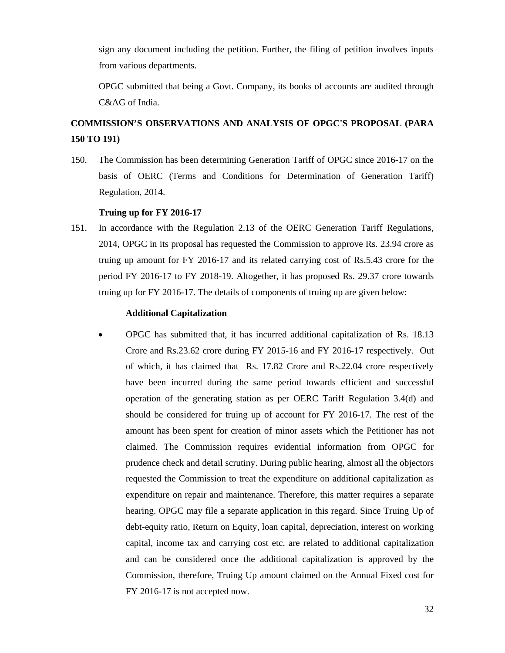sign any document including the petition. Further, the filing of petition involves inputs from various departments.

OPGC submitted that being a Govt. Company, its books of accounts are audited through C&AG of India.

# **COMMISSION'S OBSERVATIONS AND ANALYSIS OF OPGC'S PROPOSAL (PARA 150 TO 191)**

150. The Commission has been determining Generation Tariff of OPGC since 2016-17 on the basis of OERC (Terms and Conditions for Determination of Generation Tariff) Regulation, 2014.

# **Truing up for FY 2016-17**

151. In accordance with the Regulation 2.13 of the OERC Generation Tariff Regulations, 2014, OPGC in its proposal has requested the Commission to approve Rs. 23.94 crore as truing up amount for FY 2016-17 and its related carrying cost of Rs.5.43 crore for the period FY 2016-17 to FY 2018-19. Altogether, it has proposed Rs. 29.37 crore towards truing up for FY 2016-17. The details of components of truing up are given below:

#### **Additional Capitalization**

• OPGC has submitted that, it has incurred additional capitalization of Rs. 18.13 Crore and Rs.23.62 crore during FY 2015-16 and FY 2016-17 respectively. Out of which, it has claimed that Rs. 17.82 Crore and Rs.22.04 crore respectively have been incurred during the same period towards efficient and successful operation of the generating station as per OERC Tariff Regulation 3.4(d) and should be considered for truing up of account for FY 2016-17. The rest of the amount has been spent for creation of minor assets which the Petitioner has not claimed. The Commission requires evidential information from OPGC for prudence check and detail scrutiny. During public hearing, almost all the objectors requested the Commission to treat the expenditure on additional capitalization as expenditure on repair and maintenance. Therefore, this matter requires a separate hearing. OPGC may file a separate application in this regard. Since Truing Up of debt-equity ratio, Return on Equity, loan capital, depreciation, interest on working capital, income tax and carrying cost etc. are related to additional capitalization and can be considered once the additional capitalization is approved by the Commission, therefore, Truing Up amount claimed on the Annual Fixed cost for FY 2016-17 is not accepted now.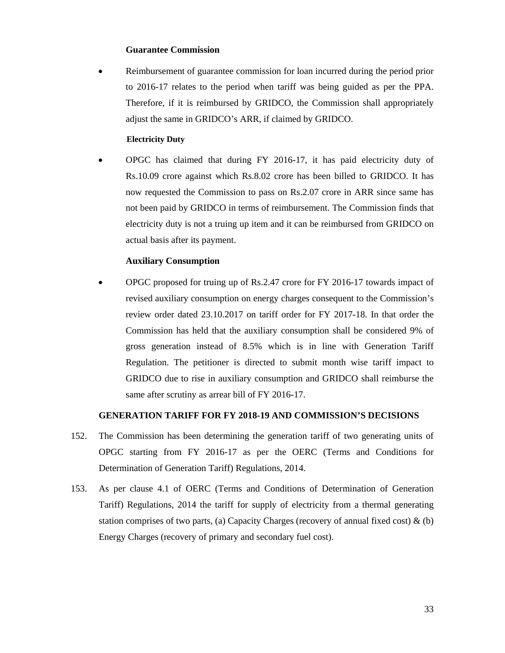#### **Guarantee Commission**

• Reimbursement of guarantee commission for loan incurred during the period prior to 2016-17 relates to the period when tariff was being guided as per the PPA. Therefore, if it is reimbursed by GRIDCO, the Commission shall appropriately adjust the same in GRIDCO's ARR, if claimed by GRIDCO.

#### **Electricity Duty**

• OPGC has claimed that during FY 2016-17, it has paid electricity duty of Rs.10.09 crore against which Rs.8.02 crore has been billed to GRIDCO. It has now requested the Commission to pass on Rs.2.07 crore in ARR since same has not been paid by GRIDCO in terms of reimbursement. The Commission finds that electricity duty is not a truing up item and it can be reimbursed from GRIDCO on actual basis after its payment.

#### **Auxiliary Consumption**

• OPGC proposed for truing up of Rs.2.47 crore for FY 2016-17 towards impact of revised auxiliary consumption on energy charges consequent to the Commission's review order dated 23.10.2017 on tariff order for FY 2017-18. In that order the Commission has held that the auxiliary consumption shall be considered 9% of gross generation instead of 8.5% which is in line with Generation Tariff Regulation. The petitioner is directed to submit month wise tariff impact to GRIDCO due to rise in auxiliary consumption and GRIDCO shall reimburse the same after scrutiny as arrear bill of FY 2016-17.

# **GENERATION TARIFF FOR FY 2018-19 AND COMMISSION'S DECISIONS**

- 152. The Commission has been determining the generation tariff of two generating units of OPGC starting from FY 2016-17 as per the OERC (Terms and Conditions for Determination of Generation Tariff) Regulations, 2014.
- 153. As per clause 4.1 of OERC (Terms and Conditions of Determination of Generation Tariff) Regulations, 2014 the tariff for supply of electricity from a thermal generating station comprises of two parts, (a) Capacity Charges (recovery of annual fixed cost)  $\&$  (b) Energy Charges (recovery of primary and secondary fuel cost).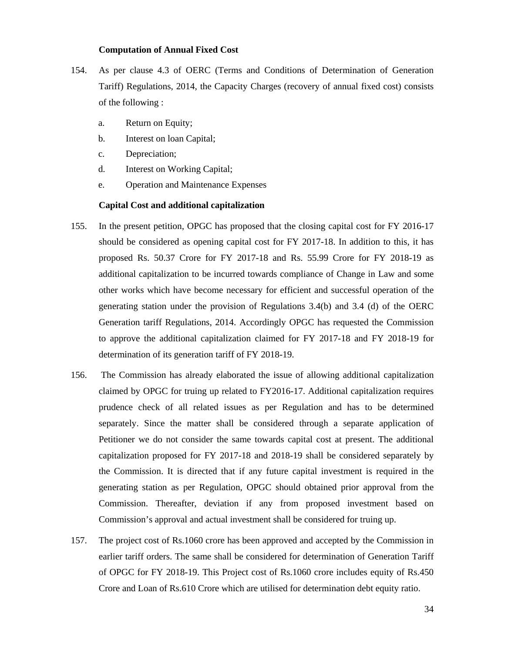#### **Computation of Annual Fixed Cost**

- 154. As per clause 4.3 of OERC (Terms and Conditions of Determination of Generation Tariff) Regulations, 2014, the Capacity Charges (recovery of annual fixed cost) consists of the following :
	- a. Return on Equity;
	- b. Interest on loan Capital;
	- c. Depreciation;
	- d. Interest on Working Capital;
	- e. Operation and Maintenance Expenses

#### **Capital Cost and additional capitalization**

- 155. In the present petition, OPGC has proposed that the closing capital cost for FY 2016-17 should be considered as opening capital cost for FY 2017-18. In addition to this, it has proposed Rs. 50.37 Crore for FY 2017-18 and Rs. 55.99 Crore for FY 2018-19 as additional capitalization to be incurred towards compliance of Change in Law and some other works which have become necessary for efficient and successful operation of the generating station under the provision of Regulations 3.4(b) and 3.4 (d) of the OERC Generation tariff Regulations, 2014. Accordingly OPGC has requested the Commission to approve the additional capitalization claimed for FY 2017-18 and FY 2018-19 for determination of its generation tariff of FY 2018-19.
- 156. The Commission has already elaborated the issue of allowing additional capitalization claimed by OPGC for truing up related to FY2016-17. Additional capitalization requires prudence check of all related issues as per Regulation and has to be determined separately. Since the matter shall be considered through a separate application of Petitioner we do not consider the same towards capital cost at present. The additional capitalization proposed for FY 2017-18 and 2018-19 shall be considered separately by the Commission. It is directed that if any future capital investment is required in the generating station as per Regulation, OPGC should obtained prior approval from the Commission. Thereafter, deviation if any from proposed investment based on Commission's approval and actual investment shall be considered for truing up.
- 157. The project cost of Rs.1060 crore has been approved and accepted by the Commission in earlier tariff orders. The same shall be considered for determination of Generation Tariff of OPGC for FY 2018-19. This Project cost of Rs.1060 crore includes equity of Rs.450 Crore and Loan of Rs.610 Crore which are utilised for determination debt equity ratio.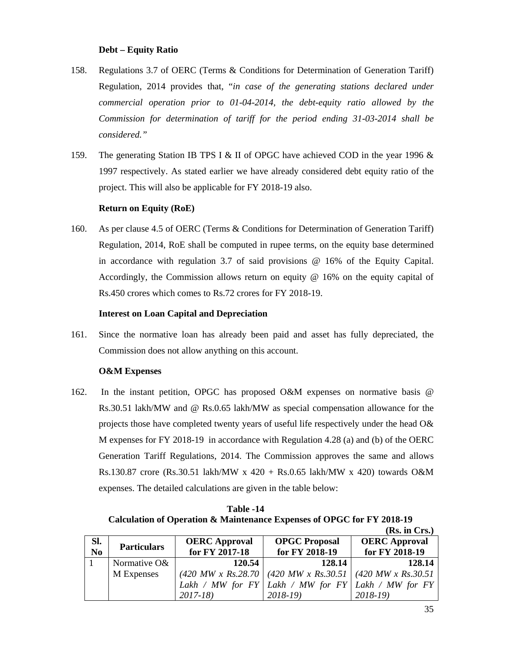# **Debt – Equity Ratio**

- 158. Regulations 3.7 of OERC (Terms & Conditions for Determination of Generation Tariff) Regulation, 2014 provides that, "*in case of the generating stations declared under commercial operation prior to 01-04-2014, the debt-equity ratio allowed by the Commission for determination of tariff for the period ending 31-03-2014 shall be considered."*
- 159. The generating Station IB TPS I & II of OPGC have achieved COD in the year 1996 & 1997 respectively. As stated earlier we have already considered debt equity ratio of the project. This will also be applicable for FY 2018-19 also.

# **Return on Equity (RoE)**

160. As per clause 4.5 of OERC (Terms & Conditions for Determination of Generation Tariff) Regulation, 2014, RoE shall be computed in rupee terms, on the equity base determined in accordance with regulation 3.7 of said provisions @ 16% of the Equity Capital. Accordingly, the Commission allows return on equity  $@16\%$  on the equity capital of Rs.450 crores which comes to Rs.72 crores for FY 2018-19.

# **Interest on Loan Capital and Depreciation**

161. Since the normative loan has already been paid and asset has fully depreciated, the Commission does not allow anything on this account.

# **O&M Expenses**

162. In the instant petition, OPGC has proposed O&M expenses on normative basis @ Rs.30.51 lakh/MW and @ Rs.0.65 lakh/MW as special compensation allowance for the projects those have completed twenty years of useful life respectively under the head O& M expenses for FY 2018-19 in accordance with Regulation 4.28 (a) and (b) of the OERC Generation Tariff Regulations, 2014. The Commission approves the same and allows Rs.130.87 crore (Rs.30.51 lakh/MW x 420 + Rs.0.65 lakh/MW x 420) towards O&M expenses. The detailed calculations are given in the table below:

**Table -14 Calculation of Operation & Maintenance Expenses of OPGC for FY 2018-19** 

|                        |                    |                      |                                                                                       | (Rs. in Crs.)        |
|------------------------|--------------------|----------------------|---------------------------------------------------------------------------------------|----------------------|
| SI.                    | <b>Particulars</b> | <b>OERC</b> Approval | <b>OPGC Proposal</b>                                                                  | <b>OERC</b> Approval |
| $\overline{\text{No}}$ |                    | for FY 2017-18       | for FY 2018-19                                                                        | for FY 2018-19       |
|                        | Normative O&       | 120.54               | 128.14                                                                                | 128.14               |
|                        | M Expenses         |                      | $(420 MW \times Rs.28.70 \mid (420 MW \times Rs.30.51 \mid (420 MW \times Rs.30.51))$ |                      |
|                        |                    |                      | Lakh / MW for $FY$ Lakh / MW for $FY$ Lakh / MW for $FY$                              |                      |
|                        |                    | $2017 - 18$          | $2018-19$                                                                             | $2018-19$            |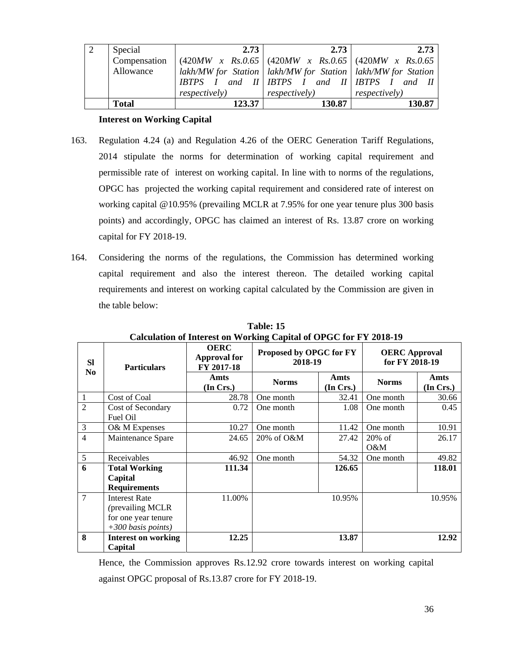| Special      | 2.73                  | 2.73                                                                                          | 2.73                  |
|--------------|-----------------------|-----------------------------------------------------------------------------------------------|-----------------------|
| Compensation |                       | $(420MW \times Rs.0.65)$ $(420MW \times Rs.0.65)$ $(420MW \times Rs.0.65)$                    |                       |
| Allowance    |                       | lakh/MW for Station   lakh/MW for Station   lakh/MW for Station                               |                       |
|              |                       | $H \setminus H$ and $H \setminus H$ is $H \setminus H$ and $H \setminus H$ is $H \setminus H$ |                       |
|              | <i>respectively</i> ) | <i>respectively</i> )                                                                         | <i>respectively</i> ) |
| <b>Total</b> | 123.37                | 130.87                                                                                        | 130.87                |

# **Interest on Working Capital**

- 163. Regulation 4.24 (a) and Regulation 4.26 of the OERC Generation Tariff Regulations, 2014 stipulate the norms for determination of working capital requirement and permissible rate of interest on working capital. In line with to norms of the regulations, OPGC has projected the working capital requirement and considered rate of interest on working capital @10.95% (prevailing MCLR at 7.95% for one year tenure plus 300 basis points) and accordingly, OPGC has claimed an interest of Rs. 13.87 crore on working capital for FY 2018-19.
- 164. Considering the norms of the regulations, the Commission has determined working capital requirement and also the interest thereon. The detailed working capital requirements and interest on working capital calculated by the Commission are given in the table below:

|                | Carculation of microst on $\alpha$ or king Capital of OTOC for FT 2010-12                |                                                                                        |              |                   |                                        |                   |  |  |
|----------------|------------------------------------------------------------------------------------------|----------------------------------------------------------------------------------------|--------------|-------------------|----------------------------------------|-------------------|--|--|
| <b>Sl</b>      | <b>Particulars</b>                                                                       | <b>OERC</b><br>Proposed by OPGC for FY<br><b>Approval for</b><br>2018-19<br>FY 2017-18 |              |                   | <b>OERC</b> Approval<br>for FY 2018-19 |                   |  |  |
| N <sub>0</sub> |                                                                                          | Amts<br>(In Crs.)                                                                      | <b>Norms</b> | Amts<br>(In Crs.) | <b>Norms</b>                           | Amts<br>(In Crs.) |  |  |
| $\mathbf{1}$   | Cost of Coal                                                                             | 28.78                                                                                  | One month    | 32.41             | One month                              | 30.66             |  |  |
| $\overline{2}$ | Cost of Secondary<br>Fuel Oil                                                            | 0.72                                                                                   | One month    | 1.08              | One month                              | 0.45              |  |  |
| $\mathfrak{Z}$ | O& M Expenses                                                                            | 10.27                                                                                  | One month    | 11.42             | One month                              | 10.91             |  |  |
| $\overline{4}$ | Maintenance Spare                                                                        | 24.65                                                                                  | 20% of O&M   | 27.42             | $20\%$ of<br>O&M                       | 26.17             |  |  |
| $\mathfrak{S}$ | Receivables                                                                              | 46.92                                                                                  | One month    | 54.32             | One month                              | 49.82             |  |  |
| 6              | <b>Total Working</b>                                                                     | 111.34                                                                                 |              | 126.65            |                                        | 118.01            |  |  |
|                | Capital                                                                                  |                                                                                        |              |                   |                                        |                   |  |  |
|                | <b>Requirements</b>                                                                      |                                                                                        |              |                   |                                        |                   |  |  |
| $\overline{7}$ | <b>Interest Rate</b><br>(prevailing MCLR)<br>for one year tenure<br>$+300$ basis points) | 11.00%                                                                                 |              | 10.95%            |                                        | 10.95%            |  |  |
| 8              | <b>Interest on working</b><br>Capital                                                    | 12.25                                                                                  |              | 13.87             |                                        | 12.92             |  |  |

**Table: 15 Calculation of Interest on Working Capital of OPGC for FY 2018-19** 

Hence, the Commission approves Rs.12.92 crore towards interest on working capital against OPGC proposal of Rs.13.87 crore for FY 2018-19.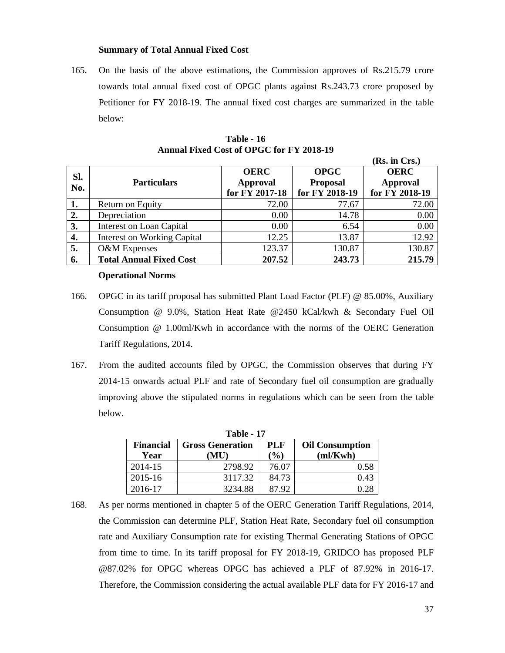# **Summary of Total Annual Fixed Cost**

165. On the basis of the above estimations, the Commission approves of Rs.215.79 crore towards total annual fixed cost of OPGC plants against Rs.243.73 crore proposed by Petitioner for FY 2018-19. The annual fixed cost charges are summarized in the table below:

| SI.<br>No. | <b>Particulars</b>                 | <b>OERC</b><br><b>Approval</b><br>for FY 2017-18 | <b>OPGC</b><br><b>Proposal</b><br>for FY 2018-19 | <b>OERC</b><br><b>Approval</b><br>for FY 2018-19 |
|------------|------------------------------------|--------------------------------------------------|--------------------------------------------------|--------------------------------------------------|
| 1.         | Return on Equity                   | 72.00                                            | 77.67                                            | 72.00                                            |
| 2.         | Depreciation                       | 0.00                                             | 14.78                                            | 0.00                                             |
| 3.         | <b>Interest on Loan Capital</b>    | 0.00                                             | 6.54                                             | 0.00                                             |
| 4.         | <b>Interest on Working Capital</b> | 12.25                                            | 13.87                                            | 12.92                                            |
| 5.         | O&M Expenses                       | 123.37                                           | 130.87                                           | 130.87                                           |
| 6.         | <b>Total Annual Fixed Cost</b>     | 207.52                                           | 243.73                                           | 215.79                                           |

**Table - 16 Annual Fixed Cost of OPGC for FY 2018-19** 

#### **Operational Norms**

- 166. OPGC in its tariff proposal has submitted Plant Load Factor (PLF) @ 85.00%, Auxiliary Consumption @ 9.0%, Station Heat Rate @2450 kCal/kwh & Secondary Fuel Oil Consumption @ 1.00ml/Kwh in accordance with the norms of the OERC Generation Tariff Regulations, 2014.
- 167. From the audited accounts filed by OPGC, the Commission observes that during FY 2014-15 onwards actual PLF and rate of Secondary fuel oil consumption are gradually improving above the stipulated norms in regulations which can be seen from the table below.

| <b>Table - 17</b> |                         |                              |                        |  |  |  |  |  |
|-------------------|-------------------------|------------------------------|------------------------|--|--|--|--|--|
| <b>Financial</b>  | <b>Gross Generation</b> | PLF                          | <b>Oil Consumption</b> |  |  |  |  |  |
| Year              | $(\mathbf{MU})$         | $\left( \frac{0}{0} \right)$ | m/Kwh                  |  |  |  |  |  |
| 2014-15           | 2798.92                 | 76.07                        | 0.58                   |  |  |  |  |  |
| 2015-16           | 3117.32                 | 84.73                        | 0.43                   |  |  |  |  |  |
| 2016-17           | 3234.88                 | 87.92                        |                        |  |  |  |  |  |

168. As per norms mentioned in chapter 5 of the OERC Generation Tariff Regulations, 2014, the Commission can determine PLF, Station Heat Rate, Secondary fuel oil consumption rate and Auxiliary Consumption rate for existing Thermal Generating Stations of OPGC from time to time. In its tariff proposal for FY 2018-19, GRIDCO has proposed PLF @87.02% for OPGC whereas OPGC has achieved a PLF of 87.92% in 2016-17. Therefore, the Commission considering the actual available PLF data for FY 2016-17 and

**(Rs. in Crs.)**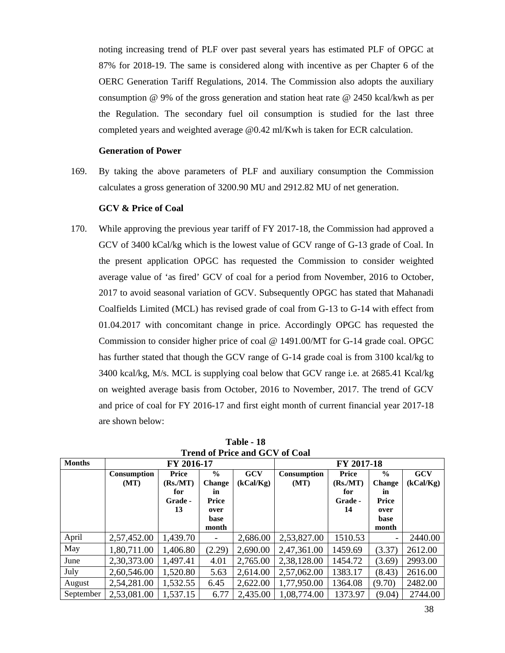noting increasing trend of PLF over past several years has estimated PLF of OPGC at 87% for 2018-19. The same is considered along with incentive as per Chapter 6 of the OERC Generation Tariff Regulations, 2014. The Commission also adopts the auxiliary consumption @ 9% of the gross generation and station heat rate @ 2450 kcal/kwh as per the Regulation. The secondary fuel oil consumption is studied for the last three completed years and weighted average @0.42 ml/Kwh is taken for ECR calculation.

#### **Generation of Power**

169. By taking the above parameters of PLF and auxiliary consumption the Commission calculates a gross generation of 3200.90 MU and 2912.82 MU of net generation.

# **GCV & Price of Coal**

170. While approving the previous year tariff of FY 2017-18, the Commission had approved a GCV of 3400 kCal/kg which is the lowest value of GCV range of G-13 grade of Coal. In the present application OPGC has requested the Commission to consider weighted average value of 'as fired' GCV of coal for a period from November, 2016 to October, 2017 to avoid seasonal variation of GCV. Subsequently OPGC has stated that Mahanadi Coalfields Limited (MCL) has revised grade of coal from G-13 to G-14 with effect from 01.04.2017 with concomitant change in price. Accordingly OPGC has requested the Commission to consider higher price of coal @ 1491.00/MT for G-14 grade coal. OPGC has further stated that though the GCV range of G-14 grade coal is from 3100 kcal/kg to 3400 kcal/kg, M/s. MCL is supplying coal below that GCV range i.e. at 2685.41 Kcal/kg on weighted average basis from October, 2016 to November, 2017. The trend of GCV and price of coal for FY 2016-17 and first eight month of current financial year 2017-18 are shown below:

| <b>Months</b> | FY 2016-17         |          |                          | FY 2017-18 |             |         |               |            |
|---------------|--------------------|----------|--------------------------|------------|-------------|---------|---------------|------------|
|               | <b>Consumption</b> | Price    | $\frac{6}{9}$            | <b>GCV</b> | Consumption | Price   | $\frac{0}{0}$ | <b>GCV</b> |
|               | (MT)               | (Rs/MT)  | <b>Change</b>            | (kCal/Kg)  | (MT)        | (Rs/MT) | <b>Change</b> | (kCal/Kg)  |
|               |                    | for      | in                       |            |             | for     | in            |            |
|               |                    | Grade -  | Price                    |            |             | Grade - | Price         |            |
|               |                    | 13       | over                     |            |             | 14      | over          |            |
|               |                    |          | base                     |            |             |         | base          |            |
|               |                    |          | month                    |            |             |         | month         |            |
| April         | 2,57,452.00        | 1,439.70 | $\overline{\phantom{a}}$ | 2,686.00   | 2,53,827.00 | 1510.53 |               | 2440.00    |
| May           | 1,80,711.00        | 1,406.80 | (2.29)                   | 2,690.00   | 2,47,361.00 | 1459.69 | (3.37)        | 2612.00    |
| June          | 2,30,373.00        | 1,497.41 | 4.01                     | 2,765.00   | 2,38,128.00 | 1454.72 | (3.69)        | 2993.00    |
| July          | 2,60,546.00        | 1,520.80 | 5.63                     | 2,614.00   | 2,57,062.00 | 1383.17 | (8.43)        | 2616.00    |
| August        | 2,54,281.00        | 1,532.55 | 6.45                     | 2,622.00   | 1,77,950.00 | 1364.08 | (9.70)        | 2482.00    |
| September     | 2,53,081.00        | 1,537.15 | 6.77                     | 2,435.00   | 1,08,774.00 | 1373.97 | (9.04)        | 2744.00    |

**Table - 18 Trend of Price and GCV of Coal**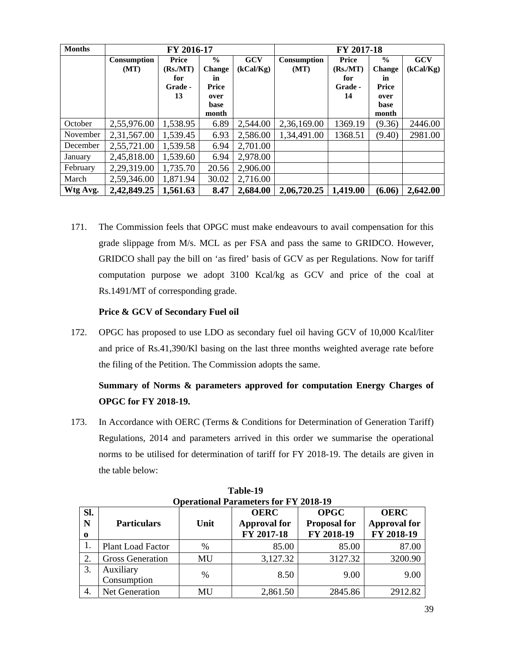| <b>Months</b> | FY 2016-17          |                                    |                                               | FY 2017-18              |                            |                                    |                                        |                         |
|---------------|---------------------|------------------------------------|-----------------------------------------------|-------------------------|----------------------------|------------------------------------|----------------------------------------|-------------------------|
|               | Consumption<br>(MT) | Price<br>(Rs/MT)<br>for<br>Grade - | $\frac{0}{0}$<br><b>Change</b><br>in<br>Price | <b>GCV</b><br>(kCal/Kg) | <b>Consumption</b><br>(MT) | Price<br>(Rs/MT)<br>for<br>Grade - | $\frac{6}{9}$<br>Change<br>in<br>Price | <b>GCV</b><br>(kCal/Kg) |
|               |                     | 13                                 | over<br>base<br>month                         |                         |                            | 14                                 | over<br>base<br>month                  |                         |
| October       | 2,55,976.00         | 1,538.95                           | 6.89                                          | 2,544.00                | 2,36,169.00                | 1369.19                            | (9.36)                                 | 2446.00                 |
| November      | 2,31,567.00         | 1,539.45                           | 6.93                                          | 2,586.00                | 1,34,491.00                | 1368.51                            | (9.40)                                 | 2981.00                 |
| December      | 2,55,721.00         | 1,539.58                           | 6.94                                          | 2,701.00                |                            |                                    |                                        |                         |
| January       | 2,45,818.00         | 1,539.60                           | 6.94                                          | 2,978.00                |                            |                                    |                                        |                         |
| February      | 2,29,319.00         | 1,735.70                           | 20.56                                         | 2,906.00                |                            |                                    |                                        |                         |
| March         | 2,59,346.00         | 1,871.94                           | 30.02                                         | 2,716.00                |                            |                                    |                                        |                         |
| Wtg Avg.      | 2,42,849.25         | 1,561.63                           | 8.47                                          | 2,684.00                | 2,06,720.25                | 1,419.00                           | (6.06)                                 | 2,642.00                |

171. The Commission feels that OPGC must make endeavours to avail compensation for this grade slippage from M/s. MCL as per FSA and pass the same to GRIDCO. However, GRIDCO shall pay the bill on 'as fired' basis of GCV as per Regulations. Now for tariff computation purpose we adopt 3100 Kcal/kg as GCV and price of the coal at Rs.1491/MT of corresponding grade.

# **Price & GCV of Secondary Fuel oil**

172. OPGC has proposed to use LDO as secondary fuel oil having GCV of 10,000 Kcal/liter and price of Rs.41,390/Kl basing on the last three months weighted average rate before the filing of the Petition. The Commission adopts the same.

# **Summary of Norms & parameters approved for computation Energy Charges of OPGC for FY 2018-19.**

173. In Accordance with OERC (Terms & Conditions for Determination of Generation Tariff) Regulations, 2014 and parameters arrived in this order we summarise the operational norms to be utilised for determination of tariff for FY 2018-19. The details are given in the table below:

|             | Operational Farameters for F 1 2010-19 |               |                     |                     |                     |  |  |  |  |  |
|-------------|----------------------------------------|---------------|---------------------|---------------------|---------------------|--|--|--|--|--|
| SI.         |                                        |               | <b>OERC</b>         | <b>OPGC</b>         | <b>OERC</b>         |  |  |  |  |  |
| N           | <b>Particulars</b>                     | Unit          | <b>Approval for</b> | <b>Proposal for</b> | <b>Approval for</b> |  |  |  |  |  |
| $\mathbf 0$ |                                        |               | FY 2017-18          | FY 2018-19          | FY 2018-19          |  |  |  |  |  |
|             | <b>Plant Load Factor</b>               | $\%$          | 85.00               | 85.00               | 87.00               |  |  |  |  |  |
| 2.          | <b>Gross Generation</b>                | MU            | 3,127.32            | 3127.32             | 3200.90             |  |  |  |  |  |
| 3.          | Auxiliary                              | $\frac{0}{0}$ | 8.50                | 9.00                | 9.00                |  |  |  |  |  |
|             | Consumption                            |               |                     |                     |                     |  |  |  |  |  |
| 4.          | <b>Net Generation</b>                  | MU            | 2,861.50            | 2845.86             | 2912.82             |  |  |  |  |  |

**Table-19 Operational Parameters for FY 2018-19**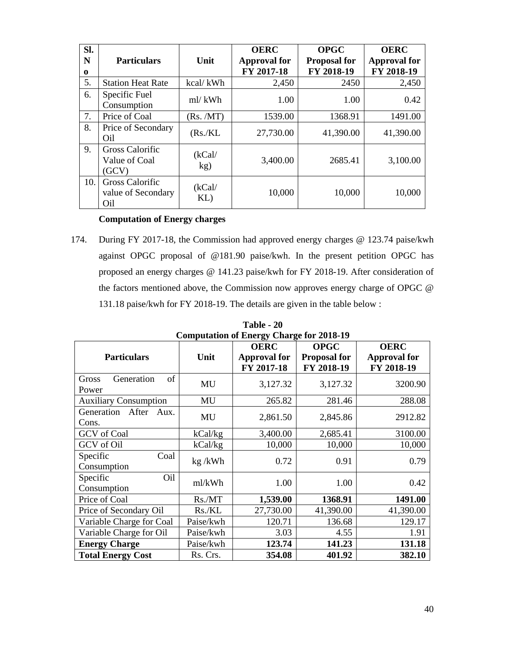| SI.<br>N<br>$\bf{0}$ | <b>Particulars</b>                                  | Unit          | <b>OERC</b><br><b>Approval for</b><br>FY 2017-18 | <b>OPGC</b><br><b>Proposal for</b><br>FY 2018-19 | <b>OERC</b><br><b>Approval for</b><br>FY 2018-19 |  |
|----------------------|-----------------------------------------------------|---------------|--------------------------------------------------|--------------------------------------------------|--------------------------------------------------|--|
| 5.                   | <b>Station Heat Rate</b>                            | kcal/kWh      | 2,450                                            | 2450                                             | 2,450                                            |  |
| 6.                   | Specific Fuel<br>Consumption                        | ml/kWh        | 1.00                                             | 1.00                                             | 0.42                                             |  |
| 7.                   | Price of Coal                                       | (Rs. /MT)     | 1539.00                                          | 1368.91                                          | 1491.00                                          |  |
| 8.                   | Price of Secondary<br>Oil                           | (Rs/KL)       | 27,730.00                                        | 41,390.00                                        | 41,390.00                                        |  |
| 9.                   | <b>Gross Calorific</b><br>Value of Coal<br>(GCV)    | (kCal/<br>kg) | 3,400.00                                         | 2685.41                                          | 3,100.00                                         |  |
| 10.                  | <b>Gross Calorific</b><br>value of Secondary<br>Oil | (kCal/<br>KL) | 10,000                                           | 10,000                                           | 10,000                                           |  |

# **Computation of Energy charges**

174. During FY 2017-18, the Commission had approved energy charges @ 123.74 paise/kwh against OPGC proposal of @181.90 paise/kwh. In the present petition OPGC has proposed an energy charges @ 141.23 paise/kwh for FY 2018-19. After consideration of the factors mentioned above, the Commission now approves energy charge of OPGC @ 131.18 paise/kwh for FY 2018-19. The details are given in the table below :

| Computation of Energy Charge for 2018-19 |           |                     |                     |                     |  |  |
|------------------------------------------|-----------|---------------------|---------------------|---------------------|--|--|
|                                          |           | <b>OERC</b>         | <b>OPGC</b>         | <b>OERC</b>         |  |  |
| <b>Particulars</b>                       | Unit      | <b>Approval for</b> | <b>Proposal for</b> | <b>Approval for</b> |  |  |
|                                          |           | FY 2017-18          | FY 2018-19          | FY 2018-19          |  |  |
| of<br>Generation<br>Gross<br>Power       | MU        | 3,127.32            | 3,127.32            | 3200.90             |  |  |
| <b>Auxiliary Consumption</b>             | MU        | 265.82              | 281.46              | 288.08              |  |  |
| Generation<br>After Aux.<br>Cons.        | MU        | 2,861.50            | 2,845.86            | 2912.82             |  |  |
| <b>GCV</b> of Coal                       | kCal/kg   | 3,400.00            | 2,685.41            | 3100.00             |  |  |
| GCV of Oil                               | kCal/kg   | 10,000              | 10,000              | 10,000              |  |  |
| Specific<br>Coal                         |           | 0.72                | 0.91                | 0.79                |  |  |
| Consumption                              | kg / kWh  |                     |                     |                     |  |  |
| Specific<br>Oil                          | ml/kWh    | 1.00                | 1.00                | 0.42                |  |  |
| Consumption                              |           |                     |                     |                     |  |  |
| Price of Coal                            | Rs./MT    | 1,539.00            | 1368.91             | 1491.00             |  |  |
| Price of Secondary Oil                   | Rs/KL     | 27,730.00           | 41,390.00           | 41,390.00           |  |  |
| Variable Charge for Coal                 | Paise/kwh | 120.71              | 136.68              | 129.17              |  |  |
| Variable Charge for Oil                  | Paise/kwh | 3.03                | 4.55                | 1.91                |  |  |
| <b>Energy Charge</b>                     | Paise/kwh | 123.74              | 141.23              | 131.18              |  |  |
| <b>Total Energy Cost</b>                 | Rs. Crs.  | 354.08              | 401.92              | 382.10              |  |  |

**Table - 20 Computation of Energy Charge for 2018-19**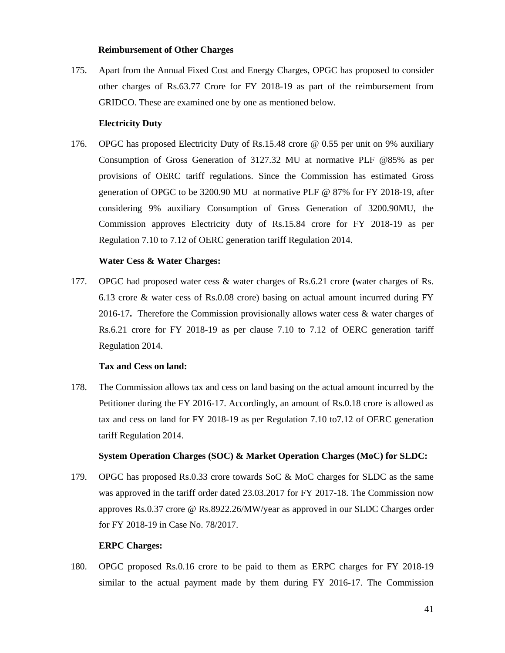#### **Reimbursement of Other Charges**

175. Apart from the Annual Fixed Cost and Energy Charges, OPGC has proposed to consider other charges of Rs.63.77 Crore for FY 2018-19 as part of the reimbursement from GRIDCO. These are examined one by one as mentioned below.

#### **Electricity Duty**

176. OPGC has proposed Electricity Duty of Rs.15.48 crore @ 0.55 per unit on 9% auxiliary Consumption of Gross Generation of 3127.32 MU at normative PLF @85% as per provisions of OERC tariff regulations. Since the Commission has estimated Gross generation of OPGC to be 3200.90 MU at normative PLF @ 87% for FY 2018-19, after considering 9% auxiliary Consumption of Gross Generation of 3200.90MU, the Commission approves Electricity duty of Rs.15.84 crore for FY 2018-19 as per Regulation 7.10 to 7.12 of OERC generation tariff Regulation 2014.

# **Water Cess & Water Charges:**

177. OPGC had proposed water cess & water charges of Rs.6.21 crore **(**water charges of Rs. 6.13 crore & water cess of Rs.0.08 crore) basing on actual amount incurred during FY 2016-17**.** Therefore the Commission provisionally allows water cess & water charges of Rs.6.21 crore for FY 2018-19 as per clause 7.10 to 7.12 of OERC generation tariff Regulation 2014.

# **Tax and Cess on land:**

178. The Commission allows tax and cess on land basing on the actual amount incurred by the Petitioner during the FY 2016-17. Accordingly, an amount of Rs.0.18 crore is allowed as tax and cess on land for FY 2018-19 as per Regulation 7.10 to7.12 of OERC generation tariff Regulation 2014.

# **System Operation Charges (SOC) & Market Operation Charges (MoC) for SLDC:**

179. OPGC has proposed Rs.0.33 crore towards SoC & MoC charges for SLDC as the same was approved in the tariff order dated 23.03.2017 for FY 2017-18. The Commission now approves Rs.0.37 crore @ Rs.8922.26/MW/year as approved in our SLDC Charges order for FY 2018-19 in Case No. 78/2017.

#### **ERPC Charges:**

180. OPGC proposed Rs.0.16 crore to be paid to them as ERPC charges for FY 2018-19 similar to the actual payment made by them during FY 2016-17. The Commission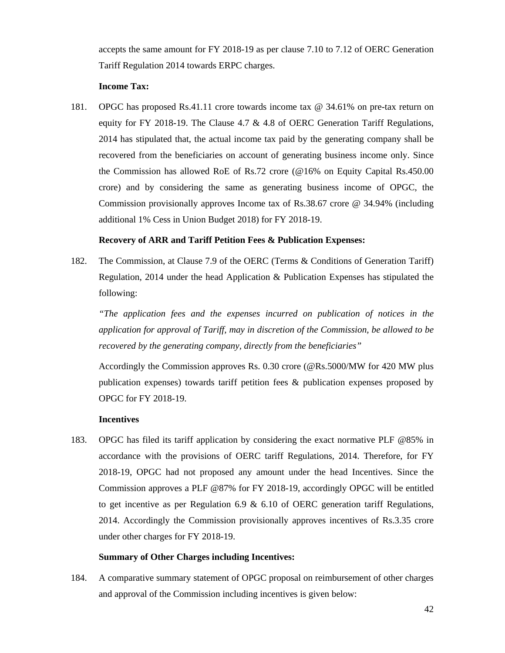accepts the same amount for FY 2018-19 as per clause 7.10 to 7.12 of OERC Generation Tariff Regulation 2014 towards ERPC charges.

### **Income Tax:**

181. OPGC has proposed Rs.41.11 crore towards income tax @ 34.61% on pre-tax return on equity for FY 2018-19. The Clause 4.7  $\&$  4.8 of OERC Generation Tariff Regulations, 2014 has stipulated that, the actual income tax paid by the generating company shall be recovered from the beneficiaries on account of generating business income only. Since the Commission has allowed RoE of Rs.72 crore (@16% on Equity Capital Rs.450.00 crore) and by considering the same as generating business income of OPGC, the Commission provisionally approves Income tax of Rs.38.67 crore @ 34.94% (including additional 1% Cess in Union Budget 2018) for FY 2018-19.

### **Recovery of ARR and Tariff Petition Fees & Publication Expenses:**

182. The Commission, at Clause 7.9 of the OERC (Terms & Conditions of Generation Tariff) Regulation, 2014 under the head Application & Publication Expenses has stipulated the following:

*"The application fees and the expenses incurred on publication of notices in the application for approval of Tariff, may in discretion of the Commission, be allowed to be recovered by the generating company, directly from the beneficiaries"* 

Accordingly the Commission approves Rs. 0.30 crore (@Rs.5000/MW for 420 MW plus publication expenses) towards tariff petition fees & publication expenses proposed by OPGC for FY 2018-19.

#### **Incentives**

183. OPGC has filed its tariff application by considering the exact normative PLF @85% in accordance with the provisions of OERC tariff Regulations, 2014. Therefore, for FY 2018-19, OPGC had not proposed any amount under the head Incentives. Since the Commission approves a PLF @87% for FY 2018-19, accordingly OPGC will be entitled to get incentive as per Regulation 6.9  $\&$  6.10 of OERC generation tariff Regulations, 2014. Accordingly the Commission provisionally approves incentives of Rs.3.35 crore under other charges for FY 2018-19.

#### **Summary of Other Charges including Incentives:**

184. A comparative summary statement of OPGC proposal on reimbursement of other charges and approval of the Commission including incentives is given below: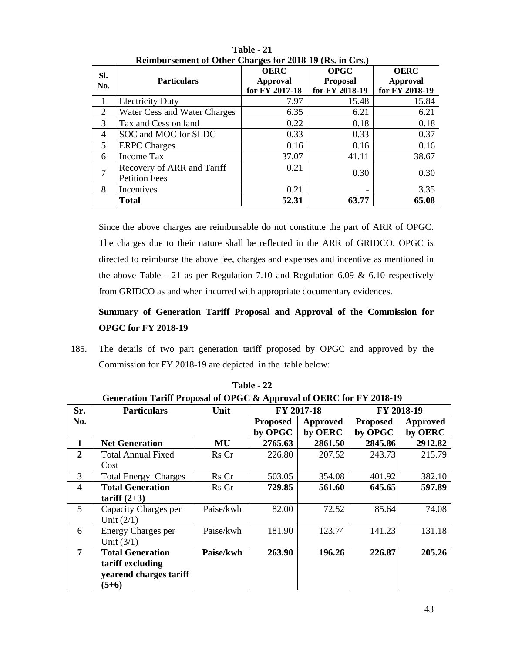| SI.<br>No.     | <b>Particulars</b>                                 | <b>OERC</b><br>Approval<br>for FY 2017-18 | <b>OPGC</b><br><b>Proposal</b><br>for FY 2018-19 | <b>OERC</b><br>Approval<br>for FY 2018-19 |
|----------------|----------------------------------------------------|-------------------------------------------|--------------------------------------------------|-------------------------------------------|
| 1              | <b>Electricity Duty</b>                            | 7.97                                      | 15.48                                            | 15.84                                     |
| 2              | Water Cess and Water Charges                       | 6.35                                      | 6.21                                             | 6.21                                      |
| 3              | Tax and Cess on land                               | 0.22                                      | 0.18                                             | 0.18                                      |
| $\overline{4}$ | SOC and MOC for SLDC                               | 0.33                                      | 0.33                                             | 0.37                                      |
| 5              | <b>ERPC</b> Charges                                | 0.16                                      | 0.16                                             | 0.16                                      |
| 6              | <b>Income Tax</b>                                  | 37.07                                     | 41.11                                            | 38.67                                     |
| 7              | Recovery of ARR and Tariff<br><b>Petition Fees</b> | 0.21                                      | 0.30                                             | 0.30                                      |
| 8              | Incentives                                         | 0.21                                      |                                                  | 3.35                                      |
|                | <b>Total</b>                                       | 52.31                                     | 63.77                                            | 65.08                                     |

**Table - 21 Reimbursement of Other Charges for 2018-19 (Rs. in Crs.)** 

Since the above charges are reimbursable do not constitute the part of ARR of OPGC. The charges due to their nature shall be reflected in the ARR of GRIDCO. OPGC is directed to reimburse the above fee, charges and expenses and incentive as mentioned in the above Table - 21 as per Regulation 7.10 and Regulation 6.09 & 6.10 respectively from GRIDCO as and when incurred with appropriate documentary evidences.

# **Summary of Generation Tariff Proposal and Approval of the Commission for OPGC for FY 2018-19**

185. The details of two part generation tariff proposed by OPGC and approved by the Commission for FY 2018-19 are depicted in the table below:

| Generation Tariff Proposal of OPGC & Approval of OERC for F Y 2018-19 |                             |           |                 |          |                 |                 |
|-----------------------------------------------------------------------|-----------------------------|-----------|-----------------|----------|-----------------|-----------------|
| Sr.                                                                   | <b>Particulars</b>          | Unit      | FY 2017-18      |          | FY 2018-19      |                 |
| No.                                                                   |                             |           | <b>Proposed</b> | Approved | <b>Proposed</b> | <b>Approved</b> |
|                                                                       |                             |           | by OPGC         | by OERC  | by OPGC         | by OERC         |
| 1                                                                     | <b>Net Generation</b>       | MU        | 2765.63         | 2861.50  | 2845.86         | 2912.82         |
| $\overline{2}$                                                        | <b>Total Annual Fixed</b>   | Rs Cr     | 226.80          | 207.52   | 243.73          | 215.79          |
|                                                                       | Cost                        |           |                 |          |                 |                 |
| 3                                                                     | <b>Total Energy Charges</b> | Rs Cr     | 503.05          | 354.08   | 401.92          | 382.10          |
| 4                                                                     | <b>Total Generation</b>     | Rs Cr     | 729.85          | 561.60   | 645.65          | 597.89          |
|                                                                       | tariff $(2+3)$              |           |                 |          |                 |                 |
| 5                                                                     | Capacity Charges per        | Paise/kwh | 82.00           | 72.52    | 85.64           | 74.08           |
|                                                                       | Unit $(2/1)$                |           |                 |          |                 |                 |
| 6                                                                     | <b>Energy Charges per</b>   | Paise/kwh | 181.90          | 123.74   | 141.23          | 131.18          |
|                                                                       | Unit $(3/1)$                |           |                 |          |                 |                 |
| $\overline{7}$                                                        | <b>Total Generation</b>     | Paise/kwh | 263.90          | 196.26   | 226.87          | 205.26          |
|                                                                       | tariff excluding            |           |                 |          |                 |                 |
|                                                                       | yearend charges tariff      |           |                 |          |                 |                 |
|                                                                       | $(5+6)$                     |           |                 |          |                 |                 |

**Table - 22 Generation Tariff Proposal of OPGC & Approval of OERC for FY 2018-19**